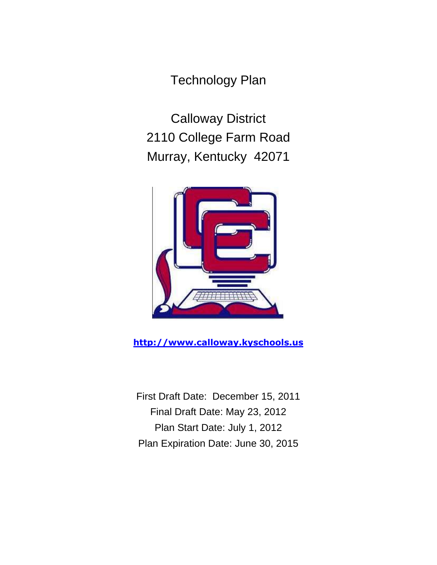Technology Plan

Calloway District 2110 College Farm Road Murray, Kentucky 42071



**[http://www.calloway.kyschools.us](http://www.calloway.kyschools.us/)**

First Draft Date: December 15, 2011 Final Draft Date: May 23, 2012 Plan Start Date: July 1, 2012 Plan Expiration Date: June 30, 2015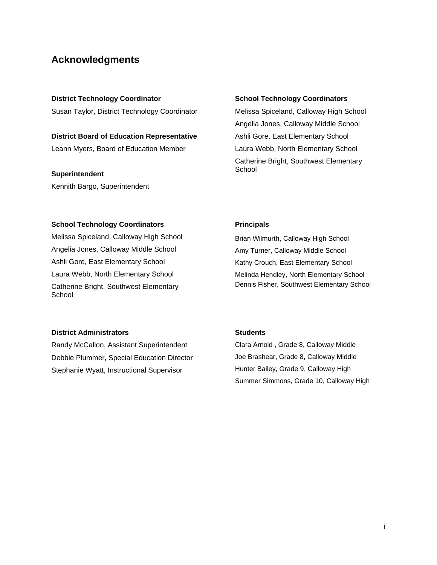### **Acknowledgments**

**District Technology Coordinator**  Susan Taylor, District Technology Coordinator

**District Board of Education Representative** Leann Myers, Board of Education Member

**Superintendent** Kennith Bargo, Superintendent

#### **School Technology Coordinators**

Melissa Spiceland, Calloway High School Angelia Jones, Calloway Middle School Ashli Gore, East Elementary School Laura Webb, North Elementary School Catherine Bright, Southwest Elementary **School** 

#### **School Technology Coordinators**

Melissa Spiceland, Calloway High School Angelia Jones, Calloway Middle School Ashli Gore, East Elementary School Laura Webb, North Elementary School Catherine Bright, Southwest Elementary School

### **Principals**

Brian Wilmurth, Calloway High School Amy Turner, Calloway Middle School Kathy Crouch, East Elementary School Melinda Hendley, North Elementary School Dennis Fisher, Southwest Elementary School

#### **District Administrators**

Randy McCallon, Assistant Superintendent Debbie Plummer, Special Education Director Stephanie Wyatt, Instructional Supervisor

#### **Students**

Clara Arnold , Grade 8, Calloway Middle Joe Brashear, Grade 8, Calloway Middle Hunter Bailey, Grade 9, Calloway High Summer Simmons, Grade 10, Calloway High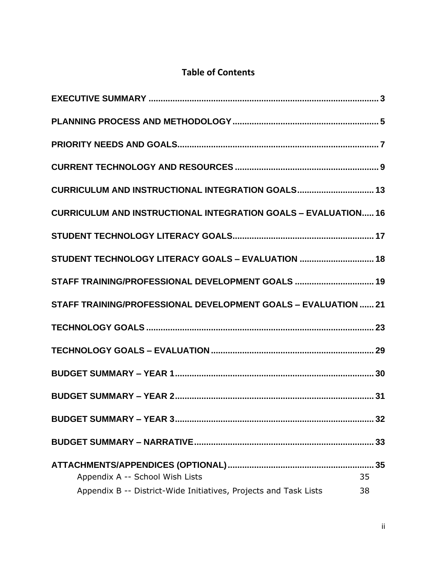## **Table of Contents**

| CURRICULUM AND INSTRUCTIONAL INTEGRATION GOALS 13                     |    |
|-----------------------------------------------------------------------|----|
| <b>CURRICULUM AND INSTRUCTIONAL INTEGRATION GOALS - EVALUATION 16</b> |    |
|                                                                       |    |
| STUDENT TECHNOLOGY LITERACY GOALS - EVALUATION  18                    |    |
| STAFF TRAINING/PROFESSIONAL DEVELOPMENT GOALS  19                     |    |
| STAFF TRAINING/PROFESSIONAL DEVELOPMENT GOALS - EVALUATION  21        |    |
|                                                                       |    |
|                                                                       |    |
|                                                                       |    |
|                                                                       |    |
|                                                                       |    |
|                                                                       |    |
|                                                                       |    |
| Appendix A -- School Wish Lists                                       | 35 |
| Appendix B -- District-Wide Initiatives, Projects and Task Lists      | 38 |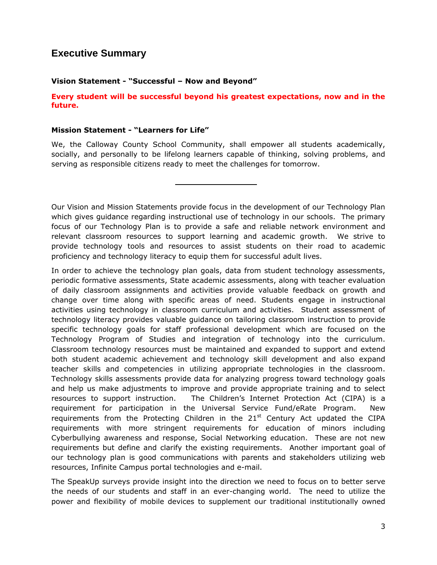### <span id="page-3-0"></span>**Executive Summary**

#### **Vision Statement - "Successful – Now and Beyond"**

#### **Every student will be successful beyond his greatest expectations, now and in the future.**

#### **Mission Statement - "Learners for Life"**

We, the Calloway County School Community, shall empower all students academically, socially, and personally to be lifelong learners capable of thinking, solving problems, and serving as responsible citizens ready to meet the challenges for tomorrow.

Our Vision and Mission Statements provide focus in the development of our Technology Plan which gives guidance regarding instructional use of technology in our schools. The primary focus of our Technology Plan is to provide a safe and reliable network environment and relevant classroom resources to support learning and academic growth. We strive to provide technology tools and resources to assist students on their road to academic proficiency and technology literacy to equip them for successful adult lives.

In order to achieve the technology plan goals, data from student technology assessments, periodic formative assessments, State academic assessments, along with teacher evaluation of daily classroom assignments and activities provide valuable feedback on growth and change over time along with specific areas of need. Students engage in instructional activities using technology in classroom curriculum and activities. Student assessment of technology literacy provides valuable guidance on tailoring classroom instruction to provide specific technology goals for staff professional development which are focused on the Technology Program of Studies and integration of technology into the curriculum. Classroom technology resources must be maintained and expanded to support and extend both student academic achievement and technology skill development and also expand teacher skills and competencies in utilizing appropriate technologies in the classroom. Technology skills assessments provide data for analyzing progress toward technology goals and help us make adjustments to improve and provide appropriate training and to select resources to support instruction. The Children's Internet Protection Act (CIPA) is a requirement for participation in the Universal Service Fund/eRate Program. New requirements from the Protecting Children in the  $21<sup>st</sup>$  Century Act updated the CIPA requirements with more stringent requirements for education of minors including Cyberbullying awareness and response, Social Networking education. These are not new requirements but define and clarify the existing requirements. Another important goal of our technology plan is good communications with parents and stakeholders utilizing web resources, Infinite Campus portal technologies and e-mail.

The SpeakUp surveys provide insight into the direction we need to focus on to better serve the needs of our students and staff in an ever-changing world. The need to utilize the power and flexibility of mobile devices to supplement our traditional institutionally owned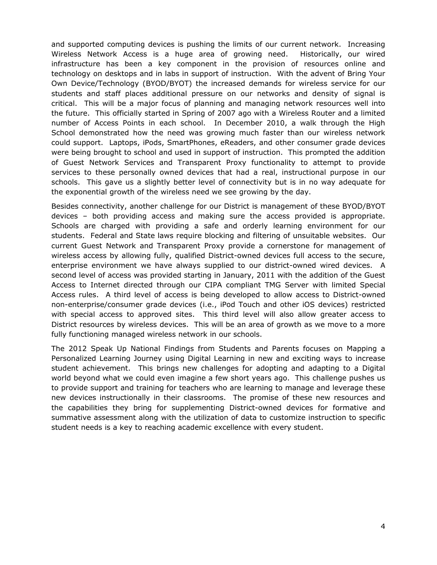and supported computing devices is pushing the limits of our current network. Increasing Wireless Network Access is a huge area of growing need. Historically, our wired infrastructure has been a key component in the provision of resources online and technology on desktops and in labs in support of instruction. With the advent of Bring Your Own Device/Technology (BYOD/BYOT) the increased demands for wireless service for our students and staff places additional pressure on our networks and density of signal is critical. This will be a major focus of planning and managing network resources well into the future. This officially started in Spring of 2007 ago with a Wireless Router and a limited number of Access Points in each school. In December 2010, a walk through the High School demonstrated how the need was growing much faster than our wireless network could support. Laptops, iPods, SmartPhones, eReaders, and other consumer grade devices were being brought to school and used in support of instruction. This prompted the addition of Guest Network Services and Transparent Proxy functionality to attempt to provide services to these personally owned devices that had a real, instructional purpose in our schools. This gave us a slightly better level of connectivity but is in no way adequate for the exponential growth of the wireless need we see growing by the day.

Besides connectivity, another challenge for our District is management of these BYOD/BYOT devices – both providing access and making sure the access provided is appropriate. Schools are charged with providing a safe and orderly learning environment for our students. Federal and State laws require blocking and filtering of unsuitable websites. Our current Guest Network and Transparent Proxy provide a cornerstone for management of wireless access by allowing fully, qualified District-owned devices full access to the secure, enterprise environment we have always supplied to our district-owned wired devices. A second level of access was provided starting in January, 2011 with the addition of the Guest Access to Internet directed through our CIPA compliant TMG Server with limited Special Access rules. A third level of access is being developed to allow access to District-owned non-enterprise/consumer grade devices (i.e., iPod Touch and other iOS devices) restricted with special access to approved sites. This third level will also allow greater access to District resources by wireless devices. This will be an area of growth as we move to a more fully functioning managed wireless network in our schools.

The 2012 Speak Up National Findings from Students and Parents focuses on Mapping a Personalized Learning Journey using Digital Learning in new and exciting ways to increase student achievement. This brings new challenges for adopting and adapting to a Digital world beyond what we could even imagine a few short years ago. This challenge pushes us to provide support and training for teachers who are learning to manage and leverage these new devices instructionally in their classrooms. The promise of these new resources and the capabilities they bring for supplementing District-owned devices for formative and summative assessment along with the utilization of data to customize instruction to specific student needs is a key to reaching academic excellence with every student.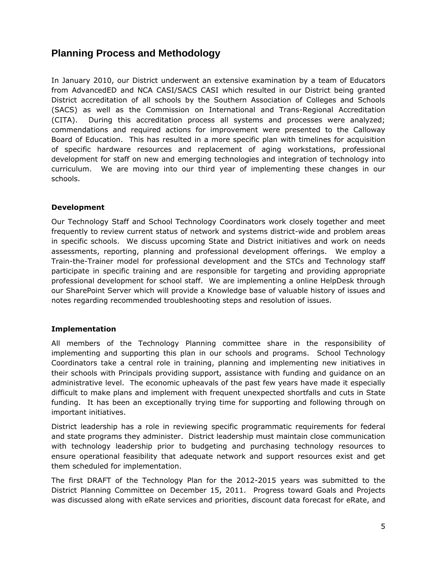## <span id="page-5-0"></span>**Planning Process and Methodology**

In January 2010, our District underwent an extensive examination by a team of Educators from AdvancedED and NCA CASI/SACS CASI which resulted in our District being granted District accreditation of all schools by the Southern Association of Colleges and Schools (SACS) as well as the Commission on International and Trans-Regional Accreditation (CITA). During this accreditation process all systems and processes were analyzed; commendations and required actions for improvement were presented to the Calloway Board of Education. This has resulted in a more specific plan with timelines for acquisition of specific hardware resources and replacement of aging workstations, professional development for staff on new and emerging technologies and integration of technology into curriculum. We are moving into our third year of implementing these changes in our schools.

### **Development**

Our Technology Staff and School Technology Coordinators work closely together and meet frequently to review current status of network and systems district-wide and problem areas in specific schools. We discuss upcoming State and District initiatives and work on needs assessments, reporting, planning and professional development offerings. We employ a Train-the-Trainer model for professional development and the STCs and Technology staff participate in specific training and are responsible for targeting and providing appropriate professional development for school staff. We are implementing a online HelpDesk through our SharePoint Server which will provide a Knowledge base of valuable history of issues and notes regarding recommended troubleshooting steps and resolution of issues.

### **Implementation**

All members of the Technology Planning committee share in the responsibility of implementing and supporting this plan in our schools and programs. School Technology Coordinators take a central role in training, planning and implementing new initiatives in their schools with Principals providing support, assistance with funding and guidance on an administrative level. The economic upheavals of the past few years have made it especially difficult to make plans and implement with frequent unexpected shortfalls and cuts in State funding. It has been an exceptionally trying time for supporting and following through on important initiatives.

District leadership has a role in reviewing specific programmatic requirements for federal and state programs they administer. District leadership must maintain close communication with technology leadership prior to budgeting and purchasing technology resources to ensure operational feasibility that adequate network and support resources exist and get them scheduled for implementation.

The first DRAFT of the Technology Plan for the 2012-2015 years was submitted to the District Planning Committee on December 15, 2011. Progress toward Goals and Projects was discussed along with eRate services and priorities, discount data forecast for eRate, and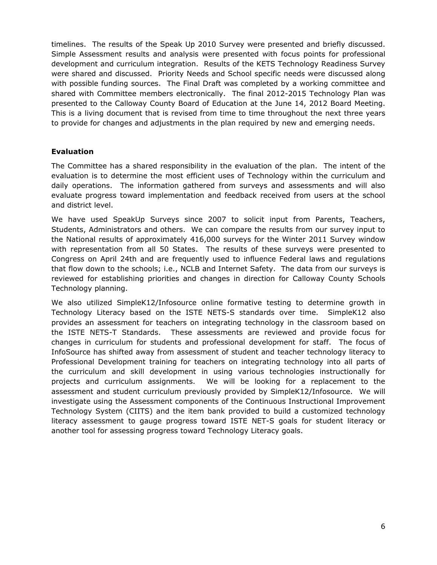timelines. The results of the Speak Up 2010 Survey were presented and briefly discussed. Simple Assessment results and analysis were presented with focus points for professional development and curriculum integration. Results of the KETS Technology Readiness Survey were shared and discussed. Priority Needs and School specific needs were discussed along with possible funding sources. The Final Draft was completed by a working committee and shared with Committee members electronically. The final 2012-2015 Technology Plan was presented to the Calloway County Board of Education at the June 14, 2012 Board Meeting. This is a living document that is revised from time to time throughout the next three years to provide for changes and adjustments in the plan required by new and emerging needs.

### **Evaluation**

The Committee has a shared responsibility in the evaluation of the plan. The intent of the evaluation is to determine the most efficient uses of Technology within the curriculum and daily operations. The information gathered from surveys and assessments and will also evaluate progress toward implementation and feedback received from users at the school and district level.

We have used SpeakUp Surveys since 2007 to solicit input from Parents, Teachers, Students, Administrators and others. We can compare the results from our survey input to the National results of approximately 416,000 surveys for the Winter 2011 Survey window with representation from all 50 States. The results of these surveys were presented to Congress on April 24th and are frequently used to influence Federal laws and regulations that flow down to the schools; i.e., NCLB and Internet Safety. The data from our surveys is reviewed for establishing priorities and changes in direction for Calloway County Schools Technology planning.

We also utilized SimpleK12/Infosource online formative testing to determine growth in Technology Literacy based on the ISTE NETS-S standards over time. SimpleK12 also provides an assessment for teachers on integrating technology in the classroom based on the ISTE NETS-T Standards. These assessments are reviewed and provide focus for changes in curriculum for students and professional development for staff. The focus of InfoSource has shifted away from assessment of student and teacher technology literacy to Professional Development training for teachers on integrating technology into all parts of the curriculum and skill development in using various technologies instructionally for projects and curriculum assignments. We will be looking for a replacement to the assessment and student curriculum previously provided by SimpleK12/Infosource. We will investigate using the Assessment components of the Continuous Instructional Improvement Technology System (CIITS) and the item bank provided to build a customized technology literacy assessment to gauge progress toward ISTE NET-S goals for student literacy or another tool for assessing progress toward Technology Literacy goals.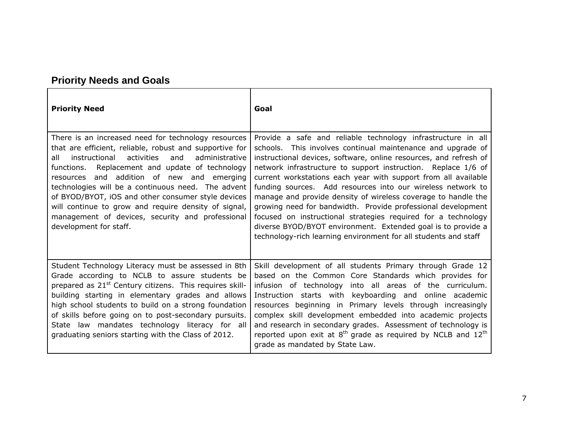# **Priority Needs and Goals**

<span id="page-7-0"></span>

| <b>Priority Need</b>                                                                                                                                                                                                                                                                                                                                                                                                                                                                                                                | Goal                                                                                                                                                                                                                                                                                                                                                                                                                                                                                                                                                                                                                                                                                                                                    |
|-------------------------------------------------------------------------------------------------------------------------------------------------------------------------------------------------------------------------------------------------------------------------------------------------------------------------------------------------------------------------------------------------------------------------------------------------------------------------------------------------------------------------------------|-----------------------------------------------------------------------------------------------------------------------------------------------------------------------------------------------------------------------------------------------------------------------------------------------------------------------------------------------------------------------------------------------------------------------------------------------------------------------------------------------------------------------------------------------------------------------------------------------------------------------------------------------------------------------------------------------------------------------------------------|
| There is an increased need for technology resources<br>that are efficient, reliable, robust and supportive for<br>instructional<br>activities<br>and<br>administrative<br>all<br>Replacement and update of technology<br>functions.<br>resources and addition of new and emerging<br>technologies will be a continuous need. The advent<br>of BYOD/BYOT, iOS and other consumer style devices<br>will continue to grow and require density of signal,<br>management of devices, security and professional<br>development for staff. | Provide a safe and reliable technology infrastructure in all<br>schools. This involves continual maintenance and upgrade of<br>instructional devices, software, online resources, and refresh of<br>network infrastructure to support instruction. Replace 1/6 of<br>current workstations each year with support from all available<br>funding sources. Add resources into our wireless network to<br>manage and provide density of wireless coverage to handle the<br>growing need for bandwidth. Provide professional development<br>focused on instructional strategies required for a technology<br>diverse BYOD/BYOT environment. Extended goal is to provide a<br>technology-rich learning environment for all students and staff |
| Student Technology Literacy must be assessed in 8th<br>Grade according to NCLB to assure students be<br>prepared as 21 <sup>st</sup> Century citizens. This requires skill-<br>building starting in elementary grades and allows<br>high school students to build on a strong foundation<br>of skills before going on to post-secondary pursuits.<br>State law mandates technology literacy for all<br>graduating seniors starting with the Class of 2012.                                                                          | Skill development of all students Primary through Grade 12<br>based on the Common Core Standards which provides for<br>infusion of technology into all areas of the curriculum.<br>Instruction starts with keyboarding and online academic<br>resources beginning in Primary levels through increasingly<br>complex skill development embedded into academic projects<br>and research in secondary grades. Assessment of technology is<br>reported upon exit at $8th$ grade as required by NCLB and $12th$<br>grade as mandated by State Law.                                                                                                                                                                                           |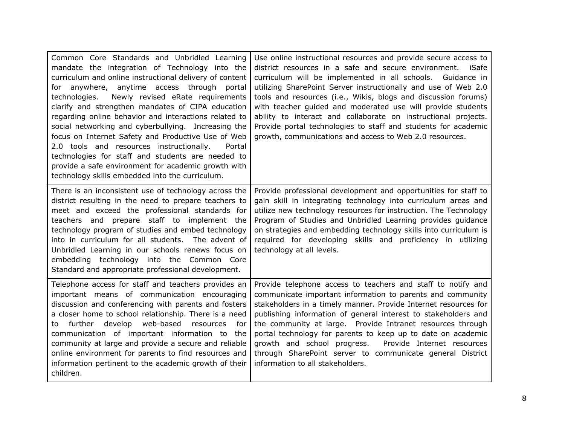| Common Core Standards and Unbridled Learning<br>mandate the integration of Technology into the<br>curriculum and online instructional delivery of content<br>for anywhere, anytime access through<br>portal<br>Newly revised eRate requirements<br>technologies.<br>clarify and strengthen mandates of CIPA education<br>regarding online behavior and interactions related to<br>social networking and cyberbullying. Increasing the<br>focus on Internet Safety and Productive Use of Web<br>2.0 tools and resources instructionally.<br>Portal<br>technologies for staff and students are needed to<br>provide a safe environment for academic growth with<br>technology skills embedded into the curriculum. | Use online instructional resources and provide secure access to<br>district resources in a safe and secure environment.<br>iSafe<br>curriculum will be implemented in all schools.<br>Guidance in<br>utilizing SharePoint Server instructionally and use of Web 2.0<br>tools and resources (i.e., Wikis, blogs and discussion forums)<br>with teacher guided and moderated use will provide students<br>ability to interact and collaborate on instructional projects.<br>Provide portal technologies to staff and students for academic<br>growth, communications and access to Web 2.0 resources. |
|------------------------------------------------------------------------------------------------------------------------------------------------------------------------------------------------------------------------------------------------------------------------------------------------------------------------------------------------------------------------------------------------------------------------------------------------------------------------------------------------------------------------------------------------------------------------------------------------------------------------------------------------------------------------------------------------------------------|-----------------------------------------------------------------------------------------------------------------------------------------------------------------------------------------------------------------------------------------------------------------------------------------------------------------------------------------------------------------------------------------------------------------------------------------------------------------------------------------------------------------------------------------------------------------------------------------------------|
| There is an inconsistent use of technology across the<br>district resulting in the need to prepare teachers to<br>meet and exceed the professional standards for<br>teachers and prepare staff to implement the<br>technology program of studies and embed technology<br>into in curriculum for all students. The advent of<br>Unbridled Learning in our schools renews focus on<br>embedding technology into the Common Core<br>Standard and appropriate professional development.                                                                                                                                                                                                                              | Provide professional development and opportunities for staff to<br>gain skill in integrating technology into curriculum areas and<br>utilize new technology resources for instruction. The Technology<br>Program of Studies and Unbridled Learning provides guidance<br>on strategies and embedding technology skills into curriculum is<br>required for developing skills and proficiency in utilizing<br>technology at all levels.                                                                                                                                                                |
| Telephone access for staff and teachers provides an<br>important means of communication encouraging<br>discussion and conferencing with parents and fosters<br>a closer home to school relationship. There is a need<br>web-based<br>further develop<br>for<br>resources<br>to<br>communication of important information to the<br>community at large and provide a secure and reliable<br>online environment for parents to find resources and<br>information pertinent to the academic growth of their<br>children.                                                                                                                                                                                            | Provide telephone access to teachers and staff to notify and<br>communicate important information to parents and community<br>stakeholders in a timely manner. Provide Internet resources for<br>publishing information of general interest to stakeholders and<br>the community at large. Provide Intranet resources through<br>portal technology for parents to keep up to date on academic<br>growth and school progress.<br>Provide Internet resources<br>through SharePoint server to communicate general District<br>information to all stakeholders.                                         |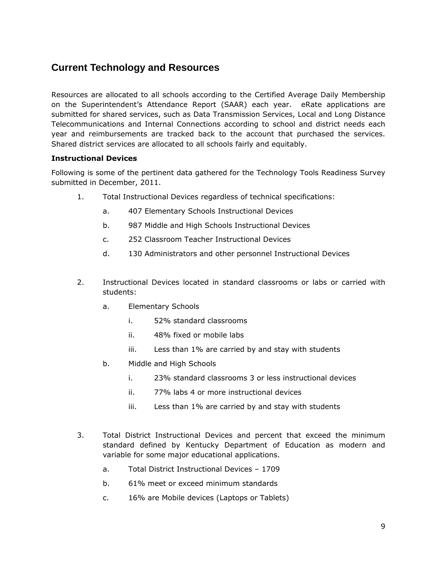## <span id="page-9-0"></span>**Current Technology and Resources**

Resources are allocated to all schools according to the Certified Average Daily Membership on the Superintendent's Attendance Report (SAAR) each year. eRate applications are submitted for shared services, such as Data Transmission Services, Local and Long Distance Telecommunications and Internal Connections according to school and district needs each year and reimbursements are tracked back to the account that purchased the services. Shared district services are allocated to all schools fairly and equitably.

### **Instructional Devices**

Following is some of the pertinent data gathered for the Technology Tools Readiness Survey submitted in December, 2011.

- 1. Total Instructional Devices regardless of technical specifications:
	- a. 407 Elementary Schools Instructional Devices
	- b. 987 Middle and High Schools Instructional Devices
	- c. 252 Classroom Teacher Instructional Devices
	- d. 130 Administrators and other personnel Instructional Devices
- 2. Instructional Devices located in standard classrooms or labs or carried with students:
	- a. Elementary Schools
		- i. 52% standard classrooms
		- ii. 48% fixed or mobile labs
		- iii. Less than 1% are carried by and stay with students
	- b. Middle and High Schools
		- i. 23% standard classrooms 3 or less instructional devices
		- ii. 77% labs 4 or more instructional devices
		- iii. Less than 1% are carried by and stay with students
- 3. Total District Instructional Devices and percent that exceed the minimum standard defined by Kentucky Department of Education as modern and variable for some major educational applications.
	- a. Total District Instructional Devices 1709
	- b. 61% meet or exceed minimum standards
	- c. 16% are Mobile devices (Laptops or Tablets)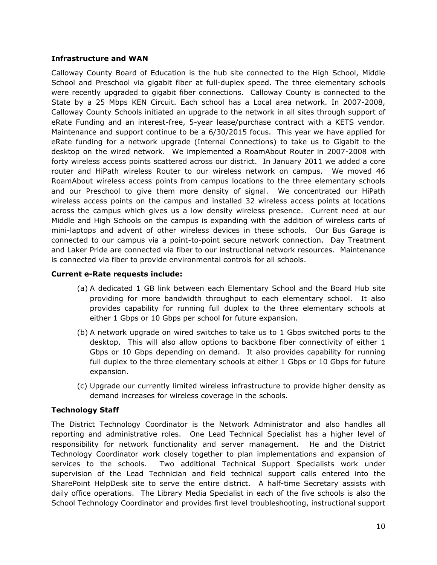#### **Infrastructure and WAN**

Calloway County Board of Education is the hub site connected to the High School, Middle School and Preschool via gigabit fiber at full-duplex speed. The three elementary schools were recently upgraded to gigabit fiber connections. Calloway County is connected to the State by a 25 Mbps KEN Circuit. Each school has a Local area network. In 2007-2008, Calloway County Schools initiated an upgrade to the network in all sites through support of eRate Funding and an interest-free, 5-year lease/purchase contract with a KETS vendor. Maintenance and support continue to be a 6/30/2015 focus. This year we have applied for eRate funding for a network upgrade (Internal Connections) to take us to Gigabit to the desktop on the wired network. We implemented a RoamAbout Router in 2007-2008 with forty wireless access points scattered across our district. In January 2011 we added a core router and HiPath wireless Router to our wireless network on campus. We moved 46 RoamAbout wireless access points from campus locations to the three elementary schools and our Preschool to give them more density of signal. We concentrated our HiPath wireless access points on the campus and installed 32 wireless access points at locations across the campus which gives us a low density wireless presence. Current need at our Middle and High Schools on the campus is expanding with the addition of wireless carts of mini-laptops and advent of other wireless devices in these schools. Our Bus Garage is connected to our campus via a point-to-point secure network connection. Day Treatment and Laker Pride are connected via fiber to our instructional network resources. Maintenance is connected via fiber to provide environmental controls for all schools.

#### **Current e-Rate requests include:**

- (a) A dedicated 1 GB link between each Elementary School and the Board Hub site providing for more bandwidth throughput to each elementary school. It also provides capability for running full duplex to the three elementary schools at either 1 Gbps or 10 Gbps per school for future expansion.
- (b) A network upgrade on wired switches to take us to 1 Gbps switched ports to the desktop. This will also allow options to backbone fiber connectivity of either 1 Gbps or 10 Gbps depending on demand. It also provides capability for running full duplex to the three elementary schools at either 1 Gbps or 10 Gbps for future expansion.
- (c) Upgrade our currently limited wireless infrastructure to provide higher density as demand increases for wireless coverage in the schools.

### **Technology Staff**

The District Technology Coordinator is the Network Administrator and also handles all reporting and administrative roles. One Lead Technical Specialist has a higher level of responsibility for network functionality and server management. He and the District Technology Coordinator work closely together to plan implementations and expansion of services to the schools. Two additional Technical Support Specialists work under supervision of the Lead Technician and field technical support calls entered into the SharePoint HelpDesk site to serve the entire district. A half-time Secretary assists with daily office operations. The Library Media Specialist in each of the five schools is also the School Technology Coordinator and provides first level troubleshooting, instructional support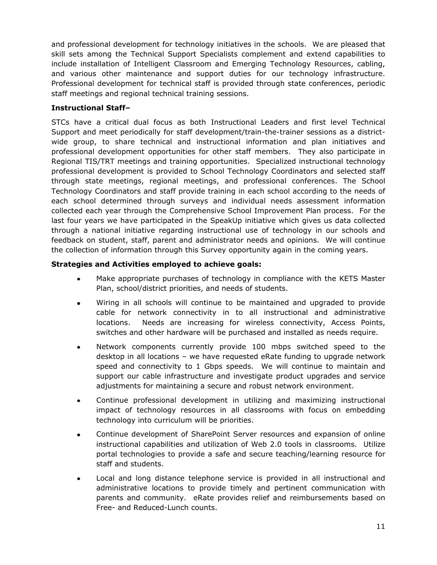and professional development for technology initiatives in the schools. We are pleased that skill sets among the Technical Support Specialists complement and extend capabilities to include installation of Intelligent Classroom and Emerging Technology Resources, cabling, and various other maintenance and support duties for our technology infrastructure. Professional development for technical staff is provided through state conferences, periodic staff meetings and regional technical training sessions.

### **Instructional Staff–**

STCs have a critical dual focus as both Instructional Leaders and first level Technical Support and meet periodically for staff development/train-the-trainer sessions as a districtwide group, to share technical and instructional information and plan initiatives and professional development opportunities for other staff members. They also participate in Regional TIS/TRT meetings and training opportunities. Specialized instructional technology professional development is provided to School Technology Coordinators and selected staff through state meetings, regional meetings, and professional conferences. The School Technology Coordinators and staff provide training in each school according to the needs of each school determined through surveys and individual needs assessment information collected each year through the Comprehensive School Improvement Plan process. For the last four years we have participated in the SpeakUp initiative which gives us data collected through a national initiative regarding instructional use of technology in our schools and feedback on student, staff, parent and administrator needs and opinions. We will continue the collection of information through this Survey opportunity again in the coming years.

### **Strategies and Activities employed to achieve goals:**

- Make appropriate purchases of technology in compliance with the KETS Master  $\bullet$ Plan, school/district priorities, and needs of students.
- Wiring in all schools will continue to be maintained and upgraded to provide cable for network connectivity in to all instructional and administrative locations. Needs are increasing for wireless connectivity, Access Points, switches and other hardware will be purchased and installed as needs require.
- $\bullet$ Network components currently provide 100 mbps switched speed to the desktop in all locations – we have requested eRate funding to upgrade network speed and connectivity to 1 Gbps speeds. We will continue to maintain and support our cable infrastructure and investigate product upgrades and service adjustments for maintaining a secure and robust network environment.
- Continue professional development in utilizing and maximizing instructional  $\bullet$ impact of technology resources in all classrooms with focus on embedding technology into curriculum will be priorities.
- Continue development of SharePoint Server resources and expansion of online  $\bullet$ instructional capabilities and utilization of Web 2.0 tools in classrooms. Utilize portal technologies to provide a safe and secure teaching/learning resource for staff and students.
- Local and long distance telephone service is provided in all instructional and  $\bullet$ administrative locations to provide timely and pertinent communication with parents and community. eRate provides relief and reimbursements based on Free- and Reduced-Lunch counts.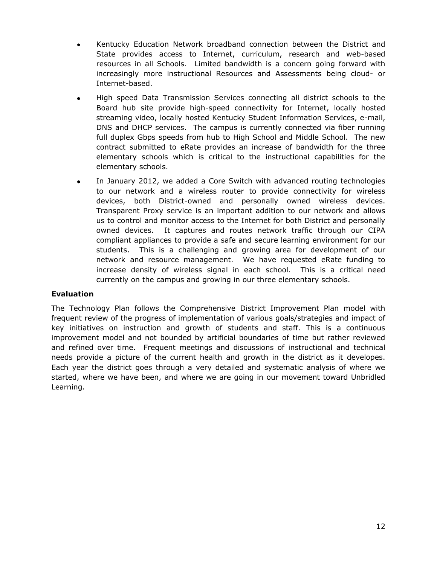- Kentucky Education Network broadband connection between the District and  $\bullet$ State provides access to Internet, curriculum, research and web-based resources in all Schools. Limited bandwidth is a concern going forward with increasingly more instructional Resources and Assessments being cloud- or Internet-based.
- High speed Data Transmission Services connecting all district schools to the  $\bullet$ Board hub site provide high-speed connectivity for Internet, locally hosted streaming video, locally hosted Kentucky Student Information Services, e-mail, DNS and DHCP services. The campus is currently connected via fiber running full duplex Gbps speeds from hub to High School and Middle School. The new contract submitted to eRate provides an increase of bandwidth for the three elementary schools which is critical to the instructional capabilities for the elementary schools.
- In January 2012, we added a Core Switch with advanced routing technologies to our network and a wireless router to provide connectivity for wireless devices, both District-owned and personally owned wireless devices. Transparent Proxy service is an important addition to our network and allows us to control and monitor access to the Internet for both District and personally owned devices. It captures and routes network traffic through our CIPA compliant appliances to provide a safe and secure learning environment for our students. This is a challenging and growing area for development of our network and resource management. We have requested eRate funding to increase density of wireless signal in each school. This is a critical need currently on the campus and growing in our three elementary schools.

### **Evaluation**

The Technology Plan follows the Comprehensive District Improvement Plan model with frequent review of the progress of implementation of various goals/strategies and impact of key initiatives on instruction and growth of students and staff. This is a continuous improvement model and not bounded by artificial boundaries of time but rather reviewed and refined over time. Frequent meetings and discussions of instructional and technical needs provide a picture of the current health and growth in the district as it developes. Each year the district goes through a very detailed and systematic analysis of where we started, where we have been, and where we are going in our movement toward Unbridled Learning.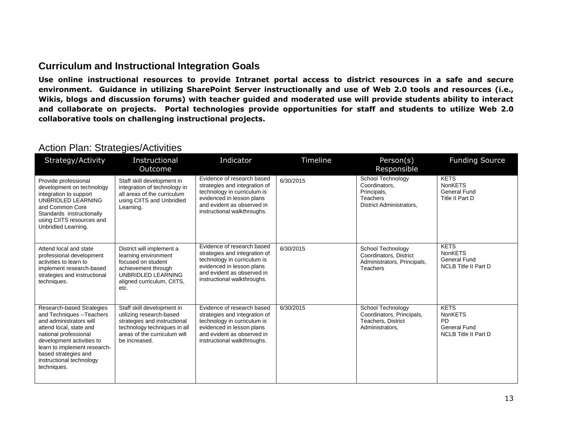## **Curriculum and Instructional Integration Goals**

**Use online instructional resources to provide Intranet portal access to district resources in a safe and secure environment. Guidance in utilizing SharePoint Server instructionally and use of Web 2.0 tools and resources (i.e., Wikis, blogs and discussion forums) with teacher guided and moderated use will provide students ability to interact and collaborate on projects. Portal technologies provide opportunities for staff and students to utilize Web 2.0 collaborative tools on challenging instructional projects.**

<span id="page-13-0"></span>

| Strategy/Activity                                                                                                                                                                                                                                                      | Instructional<br>Outcome                                                                                                                                                | Indicator                                                                                                                                                                            | Timeline  | Person(s)<br>Responsible                                                                         | <b>Funding Source</b>                                                                     |
|------------------------------------------------------------------------------------------------------------------------------------------------------------------------------------------------------------------------------------------------------------------------|-------------------------------------------------------------------------------------------------------------------------------------------------------------------------|--------------------------------------------------------------------------------------------------------------------------------------------------------------------------------------|-----------|--------------------------------------------------------------------------------------------------|-------------------------------------------------------------------------------------------|
| Provide professional<br>development on technology<br>integration to support<br>UNBRIDLED LEARNING<br>and Common Core<br>Standards instructionally<br>using CIITS resources and<br>Unbridled Learning.                                                                  | Staff skill development in<br>integration of technology in<br>all areas of the curriculum<br>using CIITS and Unbridled<br>Learning.                                     | Evidence of research based<br>strategies and integration of<br>technology in curriculum is<br>evidenced in lesson plans<br>and evident as observed in<br>instructional walkthroughs. | 6/30/2015 | School Technology<br>Coordinators,<br>Principals,<br>Teachers<br><b>District Administrators.</b> | <b>KETS</b><br><b>NonKETS</b><br><b>General Fund</b><br>Title II Part D                   |
| Attend local and state<br>professional development<br>activities to learn to<br>implement research-based<br>strategies and instructional<br>techniques.                                                                                                                | District will implement a<br>learning environment<br>focused on student<br>achievement through<br>UNBRIDLED LEARNING<br>aligned curriculum, CIITS,<br>etc.              | Evidence of research based<br>strategies and integration of<br>technology in curriculum is<br>evidenced in lesson plans<br>and evident as observed in<br>instructional walkthroughs. | 6/30/2015 | School Technology<br>Coordinators, District<br>Administrators, Principals,<br><b>Teachers</b>    | <b>KETS</b><br><b>NonKETS</b><br><b>General Fund</b><br><b>NCLB Title II Part D</b>       |
| Research-based Strategies<br>and Techniques -- Teachers<br>and administrators will<br>attend local, state and<br>national professional<br>development activities to<br>learn to implement research-<br>based strategies and<br>instructional technology<br>techniques. | Staff skill development in<br>utilizing research-based<br>strategies and instructional<br>technology techniques in all<br>areas of the curriculum will<br>be increased. | Evidence of research based<br>strategies and integration of<br>technology in curriculum is<br>evidenced in lesson plans<br>and evident as observed in<br>instructional walkthroughs. | 6/30/2015 | School Technology<br>Coordinators, Principals,<br>Teachers, District<br>Administrators,          | <b>KETS</b><br>NonKETS<br><b>PD</b><br><b>General Fund</b><br><b>NCLB Title II Part D</b> |

### Action Plan: Strategies/Activities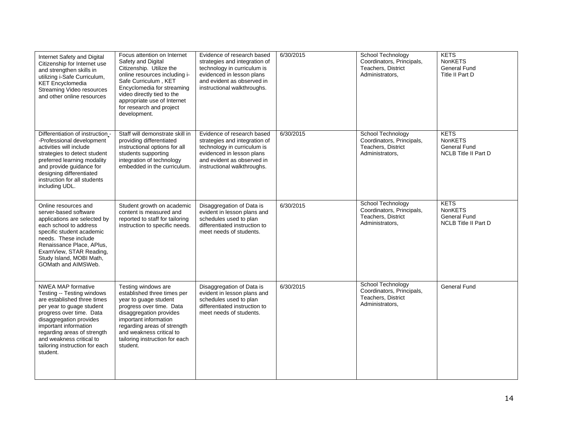| Internet Safety and Digital<br>Citizenship for Internet use<br>and strengthen skills in<br>utilizing i-Safe Curriculum,<br><b>KET Encyclomedia</b><br><b>Streaming Video resources</b><br>and other online resources                                                                                         | Focus attention on Internet<br>Safety and Digital<br>Citizenship. Utilize the<br>online resources including i-<br>Safe Curriculum, KET<br>Encyclomedia for streaming<br>video directly tied to the<br>appropriate use of Internet<br>for research and project<br>development. | Evidence of research based<br>strategies and integration of<br>technology in curriculum is<br>evidenced in lesson plans<br>and evident as observed in<br>instructional walkthroughs. | 6/30/2015 | School Technology<br>Coordinators, Principals,<br>Teachers, District<br>Administrators, | <b>KETS</b><br><b>NonKETS</b><br><b>General Fund</b><br>Title II Part D             |
|--------------------------------------------------------------------------------------------------------------------------------------------------------------------------------------------------------------------------------------------------------------------------------------------------------------|-------------------------------------------------------------------------------------------------------------------------------------------------------------------------------------------------------------------------------------------------------------------------------|--------------------------------------------------------------------------------------------------------------------------------------------------------------------------------------|-----------|-----------------------------------------------------------------------------------------|-------------------------------------------------------------------------------------|
| Differentiation of instruction-<br>-Professional development<br>activities will include<br>strategies to detect student<br>preferred learning modality<br>and provide guidance for<br>designing differentiated<br>instruction for all students<br>including UDL.                                             | Staff will demonstrate skill in<br>providing differentiated<br>instructional options for all<br>students supporting<br>integration of technology<br>embedded in the curriculum.                                                                                               | Evidence of research based<br>strategies and integration of<br>technology in curriculum is<br>evidenced in lesson plans<br>and evident as observed in<br>instructional walkthroughs. | 6/30/2015 | School Technology<br>Coordinators, Principals,<br>Teachers, District<br>Administrators, | <b>KETS</b><br><b>NonKETS</b><br><b>General Fund</b><br><b>NCLB Title II Part D</b> |
| Online resources and<br>server-based software<br>applications are selected by<br>each school to address<br>specific student academic<br>needs. These include<br>Renaissance Place, APlus,<br>ExamView, STAR Reading,<br>Study Island, MOBI Math,<br>GOMath and AIMSWeb.                                      | Student growth on academic<br>content is measured and<br>reported to staff for tailoring<br>instruction to specific needs.                                                                                                                                                    | Disaggregation of Data is<br>evident in lesson plans and<br>schedules used to plan<br>differentiated instruction to<br>meet needs of students.                                       | 6/30/2015 | School Technology<br>Coordinators, Principals,<br>Teachers, District<br>Administrators, | <b>KETS</b><br><b>NonKETS</b><br><b>General Fund</b><br><b>NCLB Title II Part D</b> |
| <b>NWEA MAP formative</b><br>Testing -- Testing windows<br>are established three times<br>per year to guage student<br>progress over time. Data<br>disaggregation provides<br>important information<br>regarding areas of strength<br>and weakness critical to<br>tailoring instruction for each<br>student. | Testing windows are<br>established three times per<br>year to guage student<br>progress over time. Data<br>disaggregation provides<br>important information<br>regarding areas of strength<br>and weakness critical to<br>tailoring instruction for each<br>student.          | Disaggregation of Data is<br>evident in lesson plans and<br>schedules used to plan<br>differentiated instruction to<br>meet needs of students.                                       | 6/30/2015 | School Technology<br>Coordinators, Principals,<br>Teachers, District<br>Administrators, | <b>General Fund</b>                                                                 |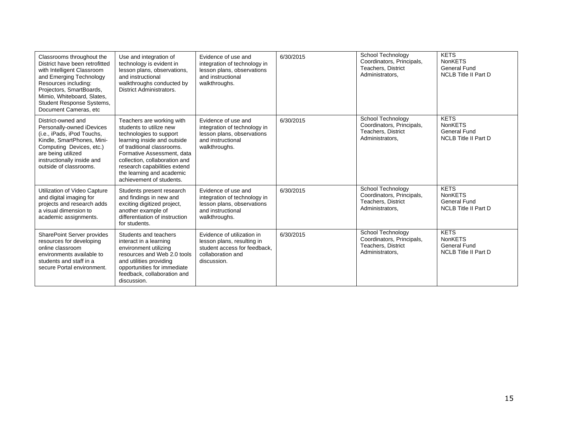| Classrooms throughout the<br>District have been retrofitted<br>with Intelligent Classroom<br>and Emerging Technology<br>Resources including:<br>Projectors, SmartBoards,<br>Mimio, Whiteboard, Slates,<br>Student Response Systems,<br>Document Cameras, etc | Use and integration of<br>technology is evident in<br>lesson plans, observations,<br>and instructional<br>walkthroughs conducted by<br>District Administrators.                                                                                                                                      | Evidence of use and<br>integration of technology in<br>lesson plans, observations<br>and instructional<br>walkthroughs.      | 6/30/2015 | School Technology<br>Coordinators, Principals,<br><b>Teachers, District</b><br>Administrators. | <b>KETS</b><br><b>NonKETS</b><br><b>General Fund</b><br><b>NCLB Title II Part D</b> |
|--------------------------------------------------------------------------------------------------------------------------------------------------------------------------------------------------------------------------------------------------------------|------------------------------------------------------------------------------------------------------------------------------------------------------------------------------------------------------------------------------------------------------------------------------------------------------|------------------------------------------------------------------------------------------------------------------------------|-----------|------------------------------------------------------------------------------------------------|-------------------------------------------------------------------------------------|
| District-owned and<br>Personally-owned iDevices<br>(i.e., iPads, iPod Touchs,<br>Kindle, SmartPhones, Mini-<br>Computing Devices, etc.)<br>are being utilized<br>instructionally inside and<br>outside of classrooms.                                        | Teachers are working with<br>students to utilize new<br>technologies to support<br>learning inside and outside<br>of traditional classrooms.<br>Formative Assessment, data<br>collection, collaboration and<br>research capabilities extend<br>the learning and academic<br>achievement of students. | Evidence of use and<br>integration of technology in<br>lesson plans, observations<br>and instructional<br>walkthroughs.      | 6/30/2015 | School Technology<br>Coordinators, Principals,<br><b>Teachers, District</b><br>Administrators, | <b>KETS</b><br>NonKETS<br>General Fund<br><b>NCLB Title II Part D</b>               |
| Utilization of Video Capture<br>and digital imaging for<br>projects and research adds<br>a visual dimension to<br>academic assignments.                                                                                                                      | Students present research<br>and findings in new and<br>exciting digitized project,<br>another example of<br>differentiation of instruction<br>for students.                                                                                                                                         | Evidence of use and<br>integration of technology in<br>lesson plans, observations<br>and instructional<br>walkthroughs.      | 6/30/2015 | School Technology<br>Coordinators, Principals,<br><b>Teachers, District</b><br>Administrators. | <b>KETS</b><br><b>NonKETS</b><br>General Fund<br><b>NCLB Title II Part D</b>        |
| SharePoint Server provides<br>resources for developing<br>online classroom<br>environments available to<br>students and staff in a<br>secure Portal environment.                                                                                             | Students and teachers<br>interact in a learning<br>environment utilizing<br>resources and Web 2.0 tools<br>and utilities providing<br>opportunities for immediate<br>feedback, collaboration and<br>discussion.                                                                                      | Evidence of utilization in<br>lesson plans, resulting in<br>student access for feedback.<br>collaboration and<br>discussion. | 6/30/2015 | School Technology<br>Coordinators, Principals,<br><b>Teachers, District</b><br>Administrators, | <b>KETS</b><br><b>NonKETS</b><br><b>General Fund</b><br><b>NCLB Title II Part D</b> |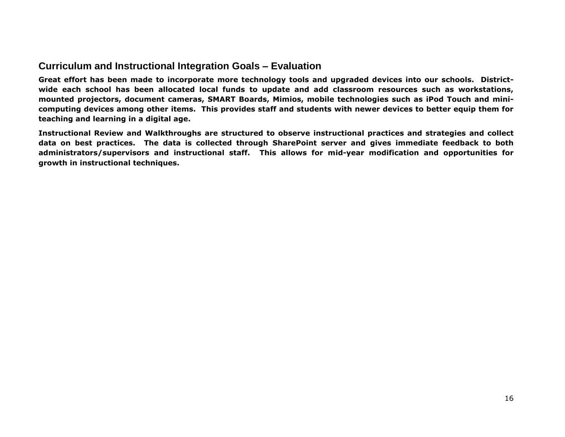## **Curriculum and Instructional Integration Goals – Evaluation**

**Great effort has been made to incorporate more technology tools and upgraded devices into our schools. Districtwide each school has been allocated local funds to update and add classroom resources such as workstations, mounted projectors, document cameras, SMART Boards, Mimios, mobile technologies such as iPod Touch and minicomputing devices among other items. This provides staff and students with newer devices to better equip them for teaching and learning in a digital age.**

<span id="page-16-0"></span>**Instructional Review and Walkthroughs are structured to observe instructional practices and strategies and collect data on best practices. The data is collected through SharePoint server and gives immediate feedback to both administrators/supervisors and instructional staff. This allows for mid-year modification and opportunities for growth in instructional techniques.**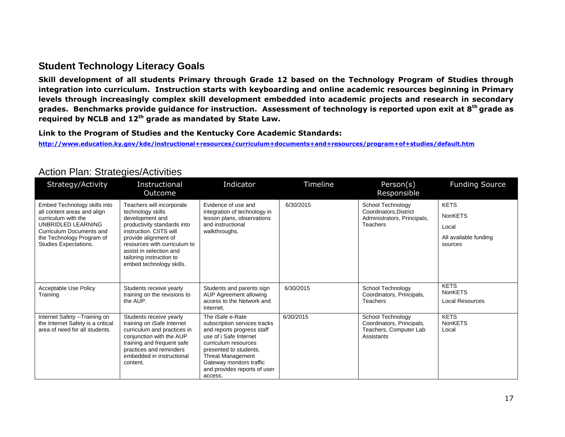## **Student Technology Literacy Goals**

**Skill development of all students Primary through Grade 12 based on the Technology Program of Studies through integration into curriculum. Instruction starts with keyboarding and online academic resources beginning in Primary levels through increasingly complex skill development embedded into academic projects and research in secondary grades. Benchmarks provide guidance for instruction. Assessment of technology is reported upon exit at 8th grade as required by NCLB and 12th grade as mandated by State Law.** 

**Link to the Program of Studies and the Kentucky Core Academic Standards:** 

**<http://www.education.ky.gov/kde/instructional+resources/curriculum+documents+and+resources/program+of+studies/default.htm>**

<span id="page-17-0"></span>

| Strategy/Activity                                                                                                                                                                          | Instructional<br>Outcome                                                                                                                                                                                                                                               | Indicator                                                                                                                                                                                                                                              | Timeline  | Person(s)<br>Responsible                                                                      | <b>Funding Source</b>                                               |
|--------------------------------------------------------------------------------------------------------------------------------------------------------------------------------------------|------------------------------------------------------------------------------------------------------------------------------------------------------------------------------------------------------------------------------------------------------------------------|--------------------------------------------------------------------------------------------------------------------------------------------------------------------------------------------------------------------------------------------------------|-----------|-----------------------------------------------------------------------------------------------|---------------------------------------------------------------------|
| Embed Technology skills into<br>all content areas and align<br>curriculum with the<br>UNBRIDLED LEARNING<br>Curriculum Documents and<br>the Technology Program of<br>Studies Expectations. | Teachers will incorporate<br>technology skills<br>development and<br>productivity standards into<br>instruction. CIITS will<br>provide alignment of<br>resources with curriculum to<br>assist in selection and<br>tailoring instruction to<br>embed technology skills. | Evidence of use and<br>integration of technology in<br>lesson plans, observations<br>and instructional<br>walkthroughs.                                                                                                                                | 6/30/2015 | School Technology<br>Coordinators, District<br>Administrators, Principals,<br><b>Teachers</b> | <b>KETS</b><br>NonKETS<br>Local<br>All available funding<br>sources |
| Acceptable Use Policy<br>Training                                                                                                                                                          | Students receive yearly<br>training on the revisions to<br>the AUP.                                                                                                                                                                                                    | Students and parents sign<br>AUP Agreement allowing<br>access to the Network and<br>Internet.                                                                                                                                                          | 6/30/2015 | School Technology<br>Coordinators, Principals,<br>Teachers                                    | <b>KETS</b><br>NonKETS<br><b>Local Resources</b>                    |
| Internet Safety --Training on<br>the Internet Safety is a critical<br>area of need for all students.                                                                                       | Students receive yearly<br>training on iSafe Internet<br>curriculum and practices in<br>conjunction with the AUP<br>training and frequent safe<br>practices and reminders<br>embedded in instructional<br>content.                                                     | The iSafe e-Rate<br>subscription services tracks<br>and reports progress staff<br>use of i Safe Internet<br>curriculum resources<br>presented to students.<br>Threat Management<br>Gateway monitors traffic<br>and provides reports of user<br>access. | 6/30/2015 | School Technology<br>Coordinators, Principals,<br>Teachers, Computer Lab<br>Assistants        | <b>KETS</b><br>NonKETS<br>Local                                     |

### Action Plan: Strategies/Activities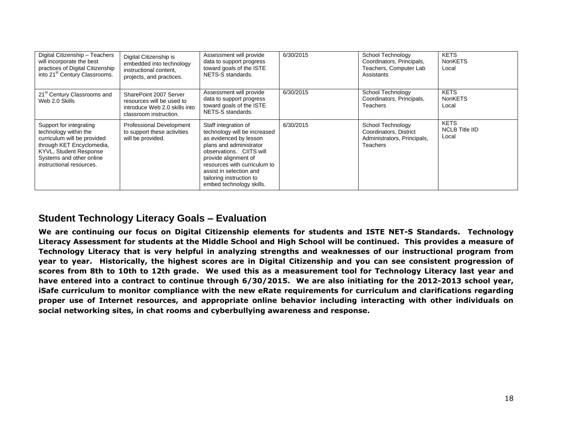| Digital Citizenship - Teachers<br>will incorporate the best<br>practices of Digital Citizenship<br>into 21 <sup>st</sup> Century Classrooms.                                                   | Digital Citizenship is<br>embedded into technology<br>instructional content,<br>projects, and practices.       | Assessment will provide<br>data to support progress<br>toward goals of the ISTE<br>NETS-S standards.                                                                                                                                                                             | 6/30/2015 | School Technology<br>Coordinators, Principals,<br>Teachers, Computer Lab<br>Assistants        | <b>KETS</b><br><b>NonKETS</b><br>Local        |
|------------------------------------------------------------------------------------------------------------------------------------------------------------------------------------------------|----------------------------------------------------------------------------------------------------------------|----------------------------------------------------------------------------------------------------------------------------------------------------------------------------------------------------------------------------------------------------------------------------------|-----------|-----------------------------------------------------------------------------------------------|-----------------------------------------------|
| 21 <sup>st</sup> Century Classrooms and<br>Web 2.0 Skills                                                                                                                                      | SharePoint 2007 Server<br>resources will be used to<br>introduce Web 2.0 skills into<br>classroom instruction. | Assessment will provide<br>data to support progress<br>toward goals of the ISTE<br>NETS-S standards.                                                                                                                                                                             | 6/30/2015 | School Technology<br>Coordinators, Principals,<br><b>Teachers</b>                             | <b>KETS</b><br><b>NonKETS</b><br>Local        |
| Support for integrating<br>technology within the<br>curriculum will be provided<br>through KET Encyclomedia,<br>KYVL, Student Response<br>Systems and other online<br>instructional resources. | Professional Development<br>to support these activities<br>will be provided.                                   | Staff integration of<br>technology will be increased<br>as evidenced by lesson<br>plans and administrator<br>observations. CIITS will<br>provide alignment of<br>resources with curriculum to<br>assist in selection and<br>tailoring instruction to<br>embed technology skills. | 6/30/2015 | School Technology<br>Coordinators, District<br>Administrators, Principals,<br><b>Teachers</b> | <b>KETS</b><br><b>NCLB Title IID</b><br>Local |

## **Student Technology Literacy Goals – Evaluation**

<span id="page-18-0"></span>**We are continuing our focus on Digital Citizenship elements for students and ISTE NET-S Standards. Technology Literacy Assessment for students at the Middle School and High School will be continued. This provides a measure of Technology Literacy that is very helpful in analyzing strengths and weaknesses of our instructional program from year to year. Historically, the highest scores are in Digital Citizenship and you can see consistent progression of scores from 8th to 10th to 12th grade. We used this as a measurement tool for Technology Literacy last year and have entered into a contract to continue through 6/30/2015. We are also initiating for the 2012-2013 school year, iSafe curriculum to monitor compliance with the new eRate requirements for curriculum and clarifications regarding proper use of Internet resources, and appropriate online behavior including interacting with other individuals on social networking sites, in chat rooms and cyberbullying awareness and response.**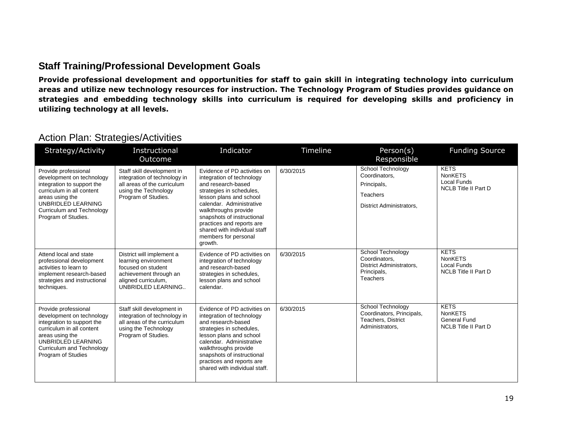## **Staff Training/Professional Development Goals**

**Provide professional development and opportunities for staff to gain skill in integrating technology into curriculum areas and utilize new technology resources for instruction. The Technology Program of Studies provides guidance on strategies and embedding technology skills into curriculum is required for developing skills and proficiency in utilizing technology at all levels.** 

<span id="page-19-0"></span>

| Strategy/Activity                                                                                                                                                                                         | Instructional<br>Outcome                                                                                                                       | Indicator                                                                                                                                                                                                                                                                                                                | Timeline  | Person(s)<br>Responsible                                                                         | <b>Funding Source</b>                                                               |
|-----------------------------------------------------------------------------------------------------------------------------------------------------------------------------------------------------------|------------------------------------------------------------------------------------------------------------------------------------------------|--------------------------------------------------------------------------------------------------------------------------------------------------------------------------------------------------------------------------------------------------------------------------------------------------------------------------|-----------|--------------------------------------------------------------------------------------------------|-------------------------------------------------------------------------------------|
| Provide professional<br>development on technology<br>integration to support the<br>curriculum in all content<br>areas using the<br>UNBRIDLED LEARNING<br>Curriculum and Technology<br>Program of Studies. | Staff skill development in<br>integration of technology in<br>all areas of the curriculum<br>using the Technology<br>Program of Studies.       | Evidence of PD activities on<br>integration of technology<br>and research-based<br>strategies in schedules,<br>lesson plans and school<br>calendar. Administrative<br>walkthroughs provide<br>snapshots of instructional<br>practices and reports are<br>shared with individual staff<br>members for personal<br>growth. | 6/30/2015 | School Technology<br>Coordinators,<br>Principals,<br><b>Teachers</b><br>District Administrators, | <b>KETS</b><br><b>NonKETS</b><br>Local Funds<br><b>NCLB Title II Part D</b>         |
| Attend local and state<br>professional development<br>activities to learn to<br>implement research-based<br>strategies and instructional<br>techniques.                                                   | District will implement a<br>learning environment<br>focused on student<br>achievement through an<br>aligned curriculum,<br>UNBRIDLED LEARNING | Evidence of PD activities on<br>integration of technology<br>and research-based<br>strategies in schedules,<br>lesson plans and school<br>calendar.                                                                                                                                                                      | 6/30/2015 | School Technology<br>Coordinators,<br>District Administrators,<br>Principals,<br><b>Teachers</b> | <b>KETS</b><br>NonKETS<br>Local Funds<br><b>NCLB Title II Part D</b>                |
| Provide professional<br>development on technology<br>integration to support the<br>curriculum in all content<br>areas using the<br>UNBRIDLED LEARNING<br>Curriculum and Technology<br>Program of Studies  | Staff skill development in<br>integration of technology in<br>all areas of the curriculum<br>using the Technology<br>Program of Studies.       | Evidence of PD activities on<br>integration of technology<br>and research-based<br>strategies in schedules,<br>lesson plans and school<br>calendar. Administrative<br>walkthroughs provide<br>snapshots of instructional<br>practices and reports are<br>shared with individual staff.                                   | 6/30/2015 | School Technology<br>Coordinators, Principals,<br><b>Teachers, District</b><br>Administrators.   | <b>KETS</b><br><b>NonKETS</b><br><b>General Fund</b><br><b>NCLB Title II Part D</b> |

## Action Plan: Strategies/Activities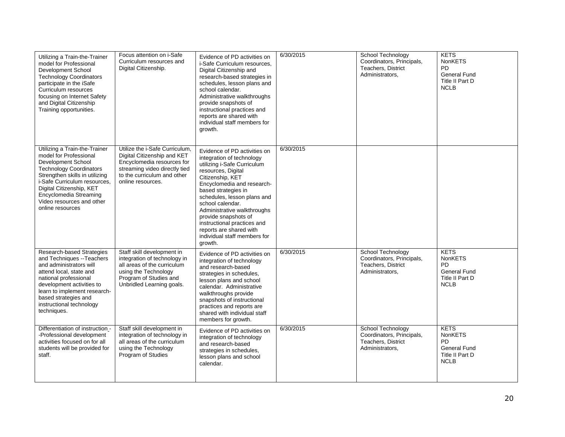| Utilizing a Train-the-Trainer<br>model for Professional<br>Development School<br><b>Technology Coordinators</b><br>participate in the iSafe<br>Curriculum resources<br>focusing on Internet Safety<br>and Digital Citizenship<br>Training opportunities.                                 | Focus attention on i-Safe<br>Curriculum resources and<br>Digital Citizenship.                                                                                                    | Evidence of PD activities on<br>i-Safe Curriculum resources,<br>Digital Citizenship and<br>research-based strategies in<br>schedules, lesson plans and<br>school calendar.<br>Administrative walkthroughs<br>provide snapshots of<br>instructional practices and<br>reports are shared with<br>individual staff members for<br>growth.                                                                 | 6/30/2015 | School Technology<br>Coordinators, Principals,<br>Teachers, District<br>Administrators, | <b>KETS</b><br><b>NonKETS</b><br><b>PD</b><br>General Fund<br>Title II Part D<br><b>NCLB</b> |
|------------------------------------------------------------------------------------------------------------------------------------------------------------------------------------------------------------------------------------------------------------------------------------------|----------------------------------------------------------------------------------------------------------------------------------------------------------------------------------|--------------------------------------------------------------------------------------------------------------------------------------------------------------------------------------------------------------------------------------------------------------------------------------------------------------------------------------------------------------------------------------------------------|-----------|-----------------------------------------------------------------------------------------|----------------------------------------------------------------------------------------------|
| Utilizing a Train-the-Trainer<br>model for Professional<br>Development School<br><b>Technology Coordinators</b><br>Strengthen skills in utilizing<br>i-Safe Curriculum resources,<br>Digital Citizenship, KET<br>Encyclomedia Streaming<br>Video resources and other<br>online resources | Utilize the i-Safe Curriculum,<br>Digital Citizenship and KET<br>Encyclomedia resources for<br>streaming video directly tied<br>to the curriculum and other<br>online resources. | Evidence of PD activities on<br>integration of technology<br>utilizing i-Safe Curriculum<br>resources, Digital<br>Citizenship, KET<br>Encyclomedia and research-<br>based strategies in<br>schedules, lesson plans and<br>school calendar.<br>Administrative walkthroughs<br>provide snapshots of<br>instructional practices and<br>reports are shared with<br>individual staff members for<br>growth. | 6/30/2015 |                                                                                         |                                                                                              |
| <b>Research-based Strategies</b><br>and Techniques -- Teachers<br>and administrators will<br>attend local, state and<br>national professional<br>development activities to<br>learn to implement research-<br>based strategies and<br>instructional technology<br>techniques.            | Staff skill development in<br>integration of technology in<br>all areas of the curriculum<br>using the Technology<br>Program of Studies and<br>Unbridled Learning goals.         | Evidence of PD activities on<br>integration of technology<br>and research-based<br>strategies in schedules,<br>lesson plans and school<br>calendar. Administrative<br>walkthroughs provide<br>snapshots of instructional<br>practices and reports are<br>shared with individual staff<br>members for growth.                                                                                           | 6/30/2015 | School Technology<br>Coordinators, Principals,<br>Teachers, District<br>Administrators, | <b>KETS</b><br>NonKETS<br><b>PD</b><br><b>General Fund</b><br>Title II Part D<br><b>NCLB</b> |
| Differentiation of instruction-<br>-Professional development<br>activities focused on for all<br>students will be provided for<br>staff.                                                                                                                                                 | Staff skill development in<br>integration of technology in<br>all areas of the curriculum<br>using the Technology<br>Program of Studies                                          | Evidence of PD activities on<br>integration of technology<br>and research-based<br>strategies in schedules,<br>lesson plans and school<br>calendar.                                                                                                                                                                                                                                                    | 6/30/2015 | School Technology<br>Coordinators, Principals,<br>Teachers, District<br>Administrators, | <b>KETS</b><br>NonKETS<br><b>PD</b><br><b>General Fund</b><br>Title II Part D<br><b>NCLB</b> |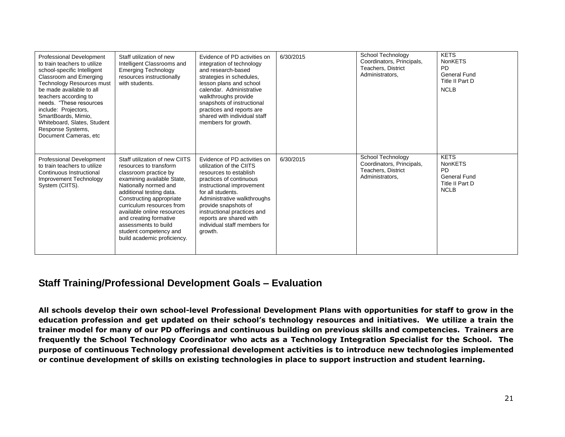| <b>Professional Development</b><br>to train teachers to utilize<br>school-specific Intelligent<br>Classroom and Emerging<br>Technology Resources must<br>be made available to all<br>teachers according to<br>needs. "These resources<br>include: Projectors,<br>SmartBoards, Mimio,<br>Whiteboard, Slates, Student<br>Response Systems,<br>Document Cameras, etc. | Staff utilization of new<br>Intelligent Classrooms and<br><b>Emerging Technology</b><br>resources instructionally<br>with students.                                                                                                                                                                                                                                    | Evidence of PD activities on<br>integration of technology<br>and research-based<br>strategies in schedules.<br>lesson plans and school<br>calendar. Administrative<br>walkthroughs provide<br>snapshots of instructional<br>practices and reports are<br>shared with individual staff<br>members for growth.                | 6/30/2015 | School Technology<br>Coordinators, Principals,<br>Teachers, District<br>Administrators,        | <b>KETS</b><br><b>NonKETS</b><br><b>PD</b><br><b>General Fund</b><br>Title II Part D<br><b>NCLB</b> |
|--------------------------------------------------------------------------------------------------------------------------------------------------------------------------------------------------------------------------------------------------------------------------------------------------------------------------------------------------------------------|------------------------------------------------------------------------------------------------------------------------------------------------------------------------------------------------------------------------------------------------------------------------------------------------------------------------------------------------------------------------|-----------------------------------------------------------------------------------------------------------------------------------------------------------------------------------------------------------------------------------------------------------------------------------------------------------------------------|-----------|------------------------------------------------------------------------------------------------|-----------------------------------------------------------------------------------------------------|
| Professional Development<br>to train teachers to utilize<br>Continuous Instructional<br>Improvement Technology<br>System (CIITS).                                                                                                                                                                                                                                  | Staff utilization of new CIITS<br>resources to transform<br>classroom practice by<br>examining available State,<br>Nationally normed and<br>additional testing data.<br>Constructing appropriate<br>curriculum resources from<br>available online resources<br>and creating formative<br>assessments to build<br>student competency and<br>build academic proficiency. | Evidence of PD activities on<br>utilization of the CIITS<br>resources to establish<br>practices of continuous<br>instructional improvement<br>for all students.<br>Administrative walkthroughs<br>provide snapshots of<br>instructional practices and<br>reports are shared with<br>individual staff members for<br>growth. | 6/30/2015 | School Technology<br>Coordinators, Principals,<br><b>Teachers, District</b><br>Administrators, | <b>KETS</b><br><b>NonKETS</b><br><b>PD</b><br>General Fund<br>Title II Part D<br><b>NCLB</b>        |

### **Staff Training/Professional Development Goals – Evaluation**

<span id="page-21-0"></span>**All schools develop their own school-level Professional Development Plans with opportunities for staff to grow in the education profession and get updated on their school's technology resources and initiatives. We utilize a train the trainer model for many of our PD offerings and continuous building on previous skills and competencies. Trainers are frequently the School Technology Coordinator who acts as a Technology Integration Specialist for the School. The purpose of continuous Technology professional development activities is to introduce new technologies implemented or continue development of skills on existing technologies in place to support instruction and student learning.**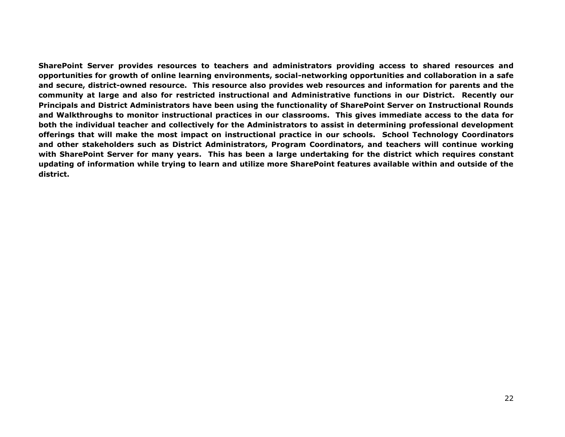**SharePoint Server provides resources to teachers and administrators providing access to shared resources and opportunities for growth of online learning environments, social-networking opportunities and collaboration in a safe and secure, district-owned resource. This resource also provides web resources and information for parents and the community at large and also for restricted instructional and Administrative functions in our District. Recently our Principals and District Administrators have been using the functionality of SharePoint Server on Instructional Rounds and Walkthroughs to monitor instructional practices in our classrooms. This gives immediate access to the data for both the individual teacher and collectively for the Administrators to assist in determining professional development offerings that will make the most impact on instructional practice in our schools. School Technology Coordinators and other stakeholders such as District Administrators, Program Coordinators, and teachers will continue working with SharePoint Server for many years. This has been a large undertaking for the district which requires constant updating of information while trying to learn and utilize more SharePoint features available within and outside of the district.**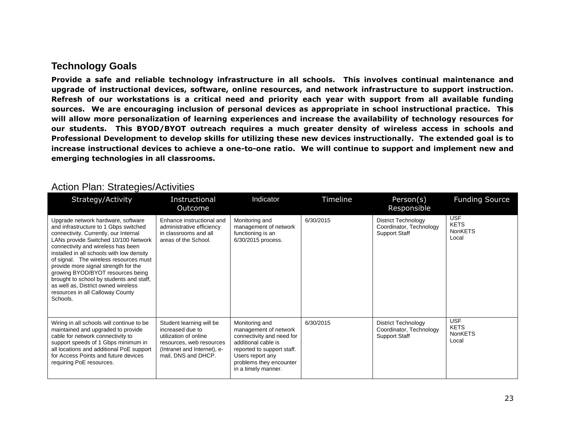### **Technology Goals**

**Provide a safe and reliable technology infrastructure in all schools. This involves continual maintenance and upgrade of instructional devices, software, online resources, and network infrastructure to support instruction. Refresh of our workstations is a critical need and priority each year with support from all available funding sources. We are encouraging inclusion of personal devices as appropriate in school instructional practice. This will allow more personalization of learning experiences and increase the availability of technology resources for our students. This BYOD/BYOT outreach requires a much greater density of wireless access in schools and Professional Development to develop skills for utilizing these new devices instructionally. The extended goal is to increase instructional devices to achieve a one-to-one ratio. We will continue to support and implement new and emerging technologies in all classrooms.**

<span id="page-23-0"></span>

|  |  | <b>Action Plan: Strategies/Activities</b> |
|--|--|-------------------------------------------|
|--|--|-------------------------------------------|

| Strategy/Activity                                                                                                                                                                                                                                                                                                                                                                                                                                                                                         | Instructional<br>Outcome                                                                                                                                | Indicator                                                                                                                                                                                       | Timeline  | Person(s)<br>Responsible                                                      | <b>Funding Source</b>                         |
|-----------------------------------------------------------------------------------------------------------------------------------------------------------------------------------------------------------------------------------------------------------------------------------------------------------------------------------------------------------------------------------------------------------------------------------------------------------------------------------------------------------|---------------------------------------------------------------------------------------------------------------------------------------------------------|-------------------------------------------------------------------------------------------------------------------------------------------------------------------------------------------------|-----------|-------------------------------------------------------------------------------|-----------------------------------------------|
| Upgrade network hardware, software<br>and infrastructure to 1 Gbps switched<br>connectivity. Currently, our Internal<br>LANs provide Switched 10/100 Network<br>connectivity and wireless has been<br>installed in all schools with low density<br>of signal. The wireless resources must<br>provide more signal strength for the<br>growing BYOD/BYOT resources being<br>brought to school by students and staff,<br>as well as, District owned wireless<br>resources in all Calloway County<br>Schools. | Enhance instructional and<br>administrative efficiency<br>in classrooms and all<br>areas of the School.                                                 | Monitoring and<br>management of network<br>functioning is an<br>6/30/2015 process.                                                                                                              | 6/30/2015 | <b>District Technology</b><br>Coordinator, Technology<br><b>Support Staff</b> | <b>USF</b><br><b>KETS</b><br>NonKETS<br>Local |
| Wiring in all schools will continue to be<br>maintained and upgraded to provide<br>cable for network connectivity to<br>support speeds of 1 Gbps minimum in<br>all locations and additional PoE support<br>for Access Points and future devices<br>requiring PoE resources.                                                                                                                                                                                                                               | Student learning will be<br>increased due to<br>utilization of online<br>resources, web resources<br>(Intranet and Internet), e-<br>mail, DNS and DHCP. | Monitoring and<br>management of network<br>connectivity and need for<br>additional cable is<br>reported to support staff.<br>Users report any<br>problems they encounter<br>in a timely manner. | 6/30/2015 | <b>District Technology</b><br>Coordinator, Technology<br><b>Support Staff</b> | <b>USF</b><br><b>KETS</b><br>NonKETS<br>Local |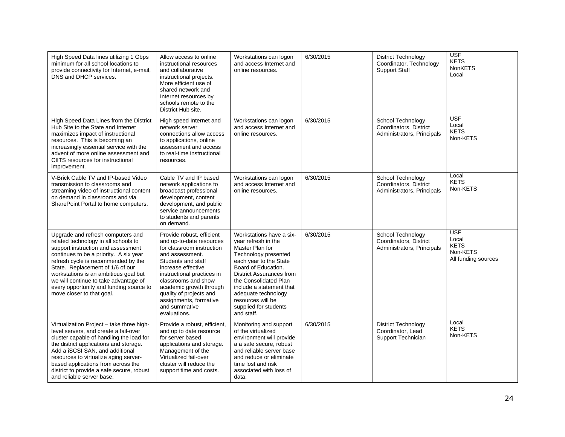| High Speed Data lines utilizing 1 Gbps<br>minimum for all school locations to<br>provide connectivity for Internet, e-mail,<br>DNS and DHCP services.                                                                                                                                                                                                                                          | Allow access to online<br>instructional resources<br>and collaborative<br>instructional projects.<br>More efficient use of<br>shared network and<br>Internet resources by<br>schools remote to the<br>District Hub site.                                                                                                | Workstations can logon<br>and access Internet and<br>online resources.                                                                                                                                                                                                                                                 | 6/30/2015 | <b>District Technology</b><br>Coordinator, Technology<br><b>Support Staff</b> | <b>USF</b><br><b>KETS</b><br><b>NonKETS</b><br>Local                  |
|------------------------------------------------------------------------------------------------------------------------------------------------------------------------------------------------------------------------------------------------------------------------------------------------------------------------------------------------------------------------------------------------|-------------------------------------------------------------------------------------------------------------------------------------------------------------------------------------------------------------------------------------------------------------------------------------------------------------------------|------------------------------------------------------------------------------------------------------------------------------------------------------------------------------------------------------------------------------------------------------------------------------------------------------------------------|-----------|-------------------------------------------------------------------------------|-----------------------------------------------------------------------|
| High Speed Data Lines from the District<br>Hub Site to the State and Internet<br>maximizes impact of instructional<br>resources. This is becoming an<br>increasingly essential service with the<br>advent of more online assessment and<br>CIITS resources for instructional<br>improvement.                                                                                                   | High speed Internet and<br>network server<br>connections allow access<br>to applications, online<br>assessment and access<br>to real-time instructional<br>resources.                                                                                                                                                   | Workstations can logon<br>and access Internet and<br>online resources.                                                                                                                                                                                                                                                 | 6/30/2015 | School Technology<br>Coordinators, District<br>Administrators, Principals     | <b>USF</b><br>Local<br><b>KETS</b><br>Non-KETS                        |
| V-Brick Cable TV and IP-based Video<br>transmission to classrooms and<br>streaming video of instructional content<br>on demand in classrooms and via<br>SharePoint Portal to home computers.                                                                                                                                                                                                   | Cable TV and IP based<br>network applications to<br>broadcast professional<br>development, content<br>development, and public<br>service announcements<br>to students and parents<br>on demand.                                                                                                                         | Workstations can logon<br>and access Internet and<br>online resources.                                                                                                                                                                                                                                                 | 6/30/2015 | School Technology<br>Coordinators, District<br>Administrators, Principals     | Local<br><b>KETS</b><br>Non-KETS                                      |
| Upgrade and refresh computers and<br>related technology in all schools to<br>support instruction and assessment<br>continues to be a priority. A six year<br>refresh cycle is recommended by the<br>State. Replacement of 1/6 of our<br>workstations is an ambitious goal but<br>we will continue to take advantage of<br>every opportunity and funding source to<br>move closer to that goal. | Provide robust, efficient<br>and up-to-date resources<br>for classroom instruction<br>and assessment.<br>Students and staff<br>increase effective<br>instructional practices in<br>classrooms and show<br>academic growth through<br>quality of projects and<br>assignments, formative<br>and summative<br>evaluations. | Workstations have a six-<br>vear refresh in the<br>Master Plan for<br>Technology presented<br>each year to the State<br>Board of Education.<br><b>District Assurances from</b><br>the Consolidated Plan<br>include a statement that<br>adequate technology<br>resources will be<br>supplied for students<br>and staff. | 6/30/2015 | School Technology<br>Coordinators, District<br>Administrators, Principals     | <b>USF</b><br>Local<br><b>KETS</b><br>Non-KETS<br>All funding sources |
| Virtualization Project - take three high-<br>level servers, and create a fail-over<br>cluster capable of handling the load for<br>the district applications and storage.<br>Add a iSCSI SAN, and additional<br>resources to virtualize aging server-<br>based applications from across the<br>district to provide a safe secure, robust<br>and reliable server base.                           | Provide a robust, efficient,<br>and up to date resource<br>for server based<br>applications and storage.<br>Management of the<br>Virtualized fail-over<br>cluster will reduce the<br>support time and costs.                                                                                                            | Monitoring and support<br>of the virtualized<br>environment will provide<br>a a safe secure, robust<br>and reliable server base<br>and reduce or eliminate<br>time lost and risk<br>associated with loss of<br>data.                                                                                                   | 6/30/2015 | <b>District Technology</b><br>Coordinator, Lead<br>Support Technician         | Local<br><b>KETS</b><br>Non-KETS                                      |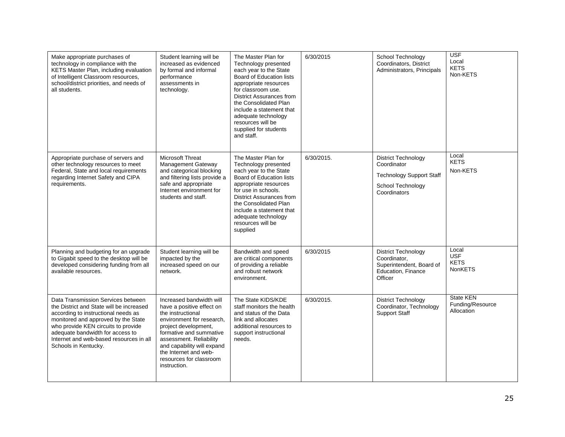| Make appropriate purchases of<br>technology in compliance with the<br>KETS Master Plan, including evaluation<br>of Intelligent Classroom resources,<br>school/district priorities, and needs of<br>all students.                                                                                           | Student learning will be<br>increased as evidenced<br>by formal and informal<br>performance<br>assessments in<br>technology.                                                                                                                                                            | The Master Plan for<br>Technology presented<br>each year to the State<br>Board of Education lists<br>appropriate resources<br>for classroom use.<br><b>District Assurances from</b><br>the Consolidated Plan<br>include a statement that<br>adequate technology<br>resources will be<br>supplied for students<br>and staff. | 6/30/2015  | School Technology<br>Coordinators, District<br>Administrators, Principals                                         | <b>USF</b><br>Local<br><b>KETS</b><br>Non-KETS       |
|------------------------------------------------------------------------------------------------------------------------------------------------------------------------------------------------------------------------------------------------------------------------------------------------------------|-----------------------------------------------------------------------------------------------------------------------------------------------------------------------------------------------------------------------------------------------------------------------------------------|-----------------------------------------------------------------------------------------------------------------------------------------------------------------------------------------------------------------------------------------------------------------------------------------------------------------------------|------------|-------------------------------------------------------------------------------------------------------------------|------------------------------------------------------|
| Appropriate purchase of servers and<br>other technology resources to meet<br>Federal, State and local requirements<br>regarding Internet Safety and CIPA<br>requirements.                                                                                                                                  | <b>Microsoft Threat</b><br><b>Management Gateway</b><br>and categorical blocking<br>and filtering lists provide a<br>safe and appropriate<br>Internet environment for<br>students and staff.                                                                                            | The Master Plan for<br>Technology presented<br>each year to the State<br>Board of Education lists<br>appropriate resources<br>for use in schools.<br><b>District Assurances from</b><br>the Consolidated Plan<br>include a statement that<br>adequate technology<br>resources will be<br>supplied                           | 6/30/2015. | <b>District Technology</b><br>Coordinator<br><b>Technology Support Staff</b><br>School Technology<br>Coordinators | Local<br><b>KETS</b><br>Non-KETS                     |
| Planning and budgeting for an upgrade<br>to Gigabit speed to the desktop will be<br>developed considering funding from all<br>available resources.                                                                                                                                                         | Student learning will be<br>impacted by the<br>increased speed on our<br>network.                                                                                                                                                                                                       | Bandwidth and speed<br>are critical components<br>of providing a reliable<br>and robust network<br>environment.                                                                                                                                                                                                             | 6/30/2015  | <b>District Technology</b><br>Coordinator,<br>Superintendent, Board of<br>Education, Finance<br>Officer           | Local<br><b>USF</b><br><b>KETS</b><br><b>NonKETS</b> |
| Data Transmission Services between<br>the District and State will be increased<br>according to instructional needs as<br>monitored and approved by the State<br>who provide KEN circuits to provide<br>adequate bandwidth for access to<br>Internet and web-based resources in all<br>Schools in Kentucky. | Increased bandwidth will<br>have a positive effect on<br>the instructional<br>environment for research,<br>project development,<br>formative and summative<br>assessment. Reliability<br>and capability will expand<br>the Internet and web-<br>resources for classroom<br>instruction. | The State KIDS/KDE<br>staff monitors the health<br>and status of the Data<br>link and allocates<br>additional resources to<br>support instructional<br>needs.                                                                                                                                                               | 6/30/2015. | <b>District Technology</b><br>Coordinator, Technology<br><b>Support Staff</b>                                     | State KEN<br>Funding/Resource<br>Allocation          |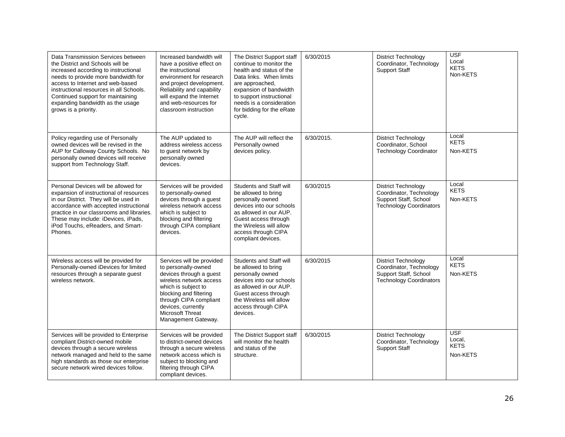| Data Transmission Services between<br>the District and Schools will be<br>increased according to instructional<br>needs to provide more bandwidth for<br>access to Internet and web-based<br>instructional resources in all Schools.<br>Continued support for maintaining<br>expanding bandwidth as the usage<br>grows is a priority. | Increased bandwidth will<br>have a positive effect on<br>the instructional<br>environment for research<br>and project development.<br>Reliability and capability<br>will expand the Internet<br>and web-resources for<br>classroom instruction            | The District Support staff<br>continue to monitor the<br>health and status of the<br>Data links. When limits<br>are approached,<br>expansion of bandwidth<br>to support instructional<br>needs is a consideration<br>for bidding for the eRate<br>cycle. | 6/30/2015  | <b>District Technology</b><br>Coordinator, Technology<br><b>Support Staff</b>                                    | <b>USF</b><br>Local<br><b>KETS</b><br>Non-KETS  |
|---------------------------------------------------------------------------------------------------------------------------------------------------------------------------------------------------------------------------------------------------------------------------------------------------------------------------------------|-----------------------------------------------------------------------------------------------------------------------------------------------------------------------------------------------------------------------------------------------------------|----------------------------------------------------------------------------------------------------------------------------------------------------------------------------------------------------------------------------------------------------------|------------|------------------------------------------------------------------------------------------------------------------|-------------------------------------------------|
| Policy regarding use of Personally<br>owned devices will be revised in the<br>AUP for Calloway County Schools. No<br>personally owned devices will receive<br>support from Technology Staff.                                                                                                                                          | The AUP updated to<br>address wireless access<br>to guest network by<br>personally owned<br>devices.                                                                                                                                                      | The AUP will reflect the<br>Personally owned<br>devices policy.                                                                                                                                                                                          | 6/30/2015. | <b>District Technology</b><br>Coordinator, School<br><b>Technology Coordinator</b>                               | Local<br><b>KETS</b><br>Non-KETS                |
| Personal Devices will be allowed for<br>expansion of instructional of resources<br>in our District. They will be used in<br>accordance with accepted instructional<br>practice in our classrooms and libraries.<br>These may include: iDevices, iPads,<br>iPod Touchs, eReaders, and Smart-<br>Phones.                                | Services will be provided<br>to personally-owned<br>devices through a guest<br>wireless network access<br>which is subject to<br>blocking and filtering<br>through CIPA compliant<br>devices.                                                             | Students and Staff will<br>be allowed to bring<br>personally owned<br>devices into our schools<br>as allowed in our AUP.<br>Guest access through<br>the Wireless will allow<br>access through CIPA<br>compliant devices.                                 | 6/30/2015  | <b>District Technology</b><br>Coordinator, Technology<br>Support Staff, School<br><b>Technology Coordinators</b> | Local<br><b>KETS</b><br>Non-KETS                |
| Wireless access will be provided for<br>Personally-owned iDevices for limited<br>resources through a separate guest<br>wireless network.                                                                                                                                                                                              | Services will be provided<br>to personally-owned<br>devices through a guest<br>wireless network access<br>which is subject to<br>blocking and filtering<br>through CIPA compliant<br>devices, currently<br><b>Microsoft Threat</b><br>Management Gateway. | Students and Staff will<br>be allowed to bring<br>personally owned<br>devices into our schools<br>as allowed in our AUP.<br>Guest access through<br>the Wireless will allow<br>access through CIPA<br>devices.                                           | 6/30/2015  | <b>District Technology</b><br>Coordinator, Technology<br>Support Staff, School<br><b>Technology Coordinators</b> | Local<br><b>KETS</b><br>Non-KETS                |
| Services will be provided to Enterprise<br>compliant District-owned mobile<br>devices through a secure wireless<br>network managed and held to the same<br>high standards as those our enterprise<br>secure network wired devices follow.                                                                                             | Services will be provided<br>to district-owned devices<br>through a secure wireless<br>network access which is<br>subject to blocking and<br>filtering through CIPA<br>compliant devices.                                                                 | The District Support staff<br>will monitor the health<br>and status of the<br>structure.                                                                                                                                                                 | 6/30/2015  | <b>District Technology</b><br>Coordinator, Technology<br><b>Support Staff</b>                                    | <b>USF</b><br>Local,<br><b>KETS</b><br>Non-KETS |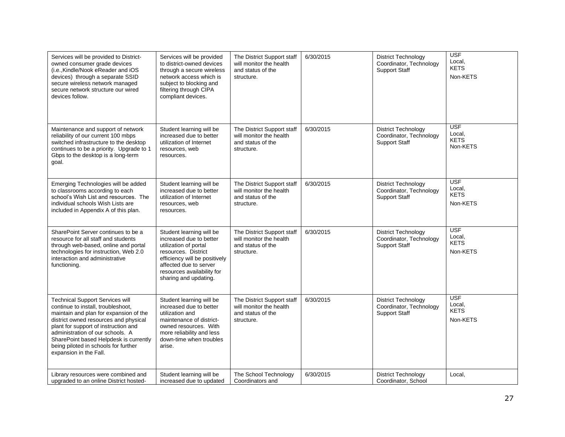| Services will be provided to District-<br>owned consumer grade devices<br>(i.e., Kindle/Nook eReader and iOS<br>devices) through a separate SSID<br>secure wireless network managed<br>secure network structure our wired<br>devices follow.                                                                                                            | Services will be provided<br>to district-owned devices<br>through a secure wireless<br>network access which is<br>subject to blocking and<br>filtering through CIPA<br>compliant devices.                             | The District Support staff<br>will monitor the health<br>and status of the<br>structure. | 6/30/2015 | <b>District Technology</b><br>Coordinator, Technology<br><b>Support Staff</b> | <b>USF</b><br>Local,<br><b>KETS</b><br>Non-KETS |
|---------------------------------------------------------------------------------------------------------------------------------------------------------------------------------------------------------------------------------------------------------------------------------------------------------------------------------------------------------|-----------------------------------------------------------------------------------------------------------------------------------------------------------------------------------------------------------------------|------------------------------------------------------------------------------------------|-----------|-------------------------------------------------------------------------------|-------------------------------------------------|
| Maintenance and support of network<br>reliability of our current 100 mbps<br>switched infrastructure to the desktop<br>continues to be a priority. Upgrade to 1<br>Gbps to the desktop is a long-term<br>goal.                                                                                                                                          | Student learning will be<br>increased due to better<br>utilization of Internet<br>resources, web<br>resources.                                                                                                        | The District Support staff<br>will monitor the health<br>and status of the<br>structure. | 6/30/2015 | <b>District Technology</b><br>Coordinator, Technology<br><b>Support Staff</b> | <b>USF</b><br>Local,<br><b>KETS</b><br>Non-KETS |
| Emerging Technologies will be added<br>to classrooms according to each<br>school's Wish List and resources. The<br>individual schools Wish Lists are<br>included in Appendix A of this plan.                                                                                                                                                            | Student learning will be<br>increased due to better<br>utilization of Internet<br>resources, web<br>resources.                                                                                                        | The District Support staff<br>will monitor the health<br>and status of the<br>structure. | 6/30/2015 | <b>District Technology</b><br>Coordinator, Technology<br><b>Support Staff</b> | <b>USF</b><br>Local,<br><b>KETS</b><br>Non-KETS |
| SharePoint Server continues to be a<br>resource for all staff and students<br>through web-based, online and portal<br>technologies for instruction, Web 2.0<br>interaction and administrative<br>functioning.                                                                                                                                           | Student learning will be<br>increased due to better<br>utilization of portal<br>resources. District<br>efficiency will be positively<br>affected due to server<br>resources availability for<br>sharing and updating. | The District Support staff<br>will monitor the health<br>and status of the<br>structure. | 6/30/2015 | <b>District Technology</b><br>Coordinator, Technology<br><b>Support Staff</b> | <b>USF</b><br>Local,<br><b>KETS</b><br>Non-KETS |
| <b>Technical Support Services will</b><br>continue to install, troubleshoot,<br>maintain and plan for expansion of the<br>district owned resources and physical<br>plant for support of instruction and<br>administration of our schools. A<br>SharePoint based Helpdesk is currently<br>being piloted in schools for further<br>expansion in the Fall. | Student learning will be<br>increased due to better<br>utilization and<br>maintenance of district-<br>owned resources. With<br>more reliability and less<br>down-time when troubles<br>arise.                         | The District Support staff<br>will monitor the health<br>and status of the<br>structure. | 6/30/2015 | <b>District Technology</b><br>Coordinator, Technology<br><b>Support Staff</b> | <b>USF</b><br>Local,<br><b>KETS</b><br>Non-KETS |
| Library resources were combined and<br>upgraded to an online District hosted-                                                                                                                                                                                                                                                                           | Student learning will be<br>increased due to updated                                                                                                                                                                  | The School Technology<br>Coordinators and                                                | 6/30/2015 | <b>District Technology</b><br>Coordinator, School                             | Local,                                          |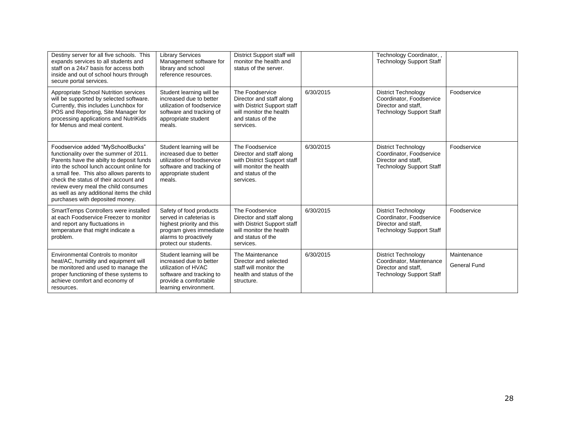| Destiny server for all five schools. This<br>expands services to all students and<br>staff on a 24x7 basis for access both<br>inside and out of school hours through<br>secure portal services.                                                                                                                                                                                  | <b>Library Services</b><br>Management software for<br>library and school<br>reference resources.                                                             | District Support staff will<br>monitor the health and<br>status of the server.                                                          |           | Technology Coordinator,,<br><b>Technology Support Staff</b>                                                      |                                    |
|----------------------------------------------------------------------------------------------------------------------------------------------------------------------------------------------------------------------------------------------------------------------------------------------------------------------------------------------------------------------------------|--------------------------------------------------------------------------------------------------------------------------------------------------------------|-----------------------------------------------------------------------------------------------------------------------------------------|-----------|------------------------------------------------------------------------------------------------------------------|------------------------------------|
| Appropriate School Nutrition services<br>will be supported by selected software.<br>Currently, this includes Lunchbox for<br>POS and Reporting, Site Manager for<br>processing applications and NutriKids<br>for Menus and meal content.                                                                                                                                         | Student learning will be<br>increased due to better<br>utilization of foodservice<br>software and tracking of<br>appropriate student<br>meals.               | The Foodservice<br>Director and staff along<br>with District Support staff<br>will monitor the health<br>and status of the<br>services. | 6/30/2015 | <b>District Technology</b><br>Coordinator, Foodservice<br>Director and staff.<br><b>Technology Support Staff</b> | Foodservice                        |
| Foodservice added "MySchoolBucks"<br>functionality over the summer of 2011.<br>Parents have the abilty to deposit funds<br>into the school lunch account online for<br>a small fee. This also allows parents to<br>check the status of their account and<br>review every meal the child consumes<br>as well as any additional items the child<br>purchases with deposited money. | Student learning will be<br>increased due to better<br>utilization of foodservice<br>software and tracking of<br>appropriate student<br>meals.               | The Foodservice<br>Director and staff along<br>with District Support staff<br>will monitor the health<br>and status of the<br>services. | 6/30/2015 | <b>District Technology</b><br>Coordinator, Foodservice<br>Director and staff,<br><b>Technology Support Staff</b> | Foodservice                        |
| SmartTemps Controllers were installed<br>at each Foodservice Freezer to monitor<br>and report any fluctuations in<br>temperature that might indicate a<br>problem.                                                                                                                                                                                                               | Safety of food products<br>served in cafeterias is<br>highest priority and this<br>program gives immediate<br>alarms to proactively<br>protect our students. | The Foodservice<br>Director and staff along<br>with District Support staff<br>will monitor the health<br>and status of the<br>services. | 6/30/2015 | <b>District Technology</b><br>Coordinator, Foodservice<br>Director and staff.<br><b>Technology Support Staff</b> | Foodservice                        |
| <b>Environmental Controls to monitor</b><br>heat/AC, humidity and equipment will<br>be monitored and used to manage the<br>proper functioning of these systems to<br>achieve comfort and economy of<br>resources.                                                                                                                                                                | Student learning will be<br>increased due to better<br>utilization of HVAC<br>software and tracking to<br>provide a comfortable<br>learning environment.     | The Maintenance<br>Director and selected<br>staff will monitor the<br>health and status of the<br>structure.                            | 6/30/2015 | <b>District Technology</b><br>Coordinator, Maintenance<br>Director and staff.<br><b>Technology Support Staff</b> | Maintenance<br><b>General Fund</b> |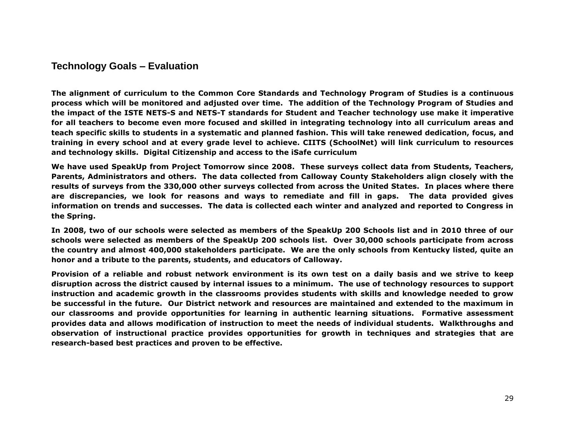### **Technology Goals – Evaluation**

**The alignment of curriculum to the Common Core Standards and Technology Program of Studies is a continuous process which will be monitored and adjusted over time. The addition of the Technology Program of Studies and the impact of the ISTE NETS-S and NETS-T standards for Student and Teacher technology use make it imperative for all teachers to become even more focused and skilled in integrating technology into all curriculum areas and teach specific skills to students in a systematic and planned fashion. This will take renewed dedication, focus, and training in every school and at every grade level to achieve. CIITS (SchoolNet) will link curriculum to resources and technology skills. Digital Citizenship and access to the iSafe curriculum** 

<span id="page-29-0"></span>**We have used SpeakUp from Project Tomorrow since 2008. These surveys collect data from Students, Teachers, Parents, Administrators and others. The data collected from Calloway County Stakeholders align closely with the results of surveys from the 330,000 other surveys collected from across the United States. In places where there are discrepancies, we look for reasons and ways to remediate and fill in gaps. The data provided gives information on trends and successes. The data is collected each winter and analyzed and reported to Congress in the Spring.** 

**In 2008, two of our schools were selected as members of the SpeakUp 200 Schools list and in 2010 three of our schools were selected as members of the SpeakUp 200 schools list. Over 30,000 schools participate from across the country and almost 400,000 stakeholders participate. We are the only schools from Kentucky listed, quite an honor and a tribute to the parents, students, and educators of Calloway.** 

**Provision of a reliable and robust network environment is its own test on a daily basis and we strive to keep disruption across the district caused by internal issues to a minimum. The use of technology resources to support instruction and academic growth in the classrooms provides students with skills and knowledge needed to grow be successful in the future. Our District network and resources are maintained and extended to the maximum in our classrooms and provide opportunities for learning in authentic learning situations. Formative assessment provides data and allows modification of instruction to meet the needs of individual students. Walkthroughs and observation of instructional practice provides opportunities for growth in techniques and strategies that are research-based best practices and proven to be effective.**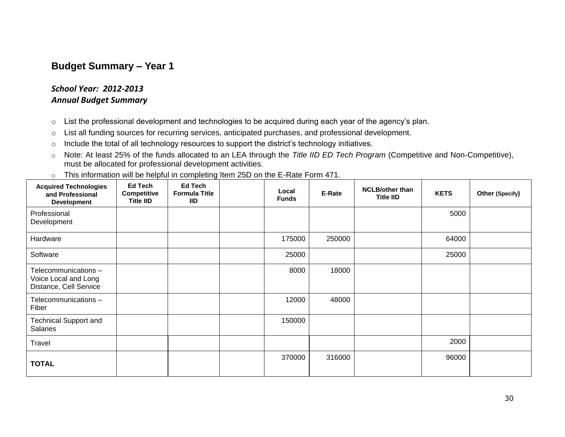## **Budget Summary – Year 1**

### *School Year: 2012-2013 Annual Budget Summary*

- o List the professional development and technologies to be acquired during each year of the agency's plan.
- o List all funding sources for recurring services, anticipated purchases, and professional development.
- o Include the total of all technology resources to support the district's technology initiatives.
- o Note: At least 25% of the funds allocated to an LEA through the *Title IID ED Tech Program* (Competitive and Non-Competitive), must be allocated for professional development activities.
- <span id="page-30-0"></span>o This information will be helpful in completing Item 25D on the E-Rate Form 471.

| <b>Acquired Technologies</b><br>and Professional<br><b>Development</b> | <b>Ed Tech</b><br><b>Competitive</b><br><b>Title IID</b> | <b>Ed Tech</b><br><b>Formula Title</b><br><b>IID</b> | Local<br><b>Funds</b> | E-Rate | <b>NCLB/other than</b><br><b>Title IID</b> | <b>KETS</b> | Other (Specify) |
|------------------------------------------------------------------------|----------------------------------------------------------|------------------------------------------------------|-----------------------|--------|--------------------------------------------|-------------|-----------------|
| Professional<br>Development                                            |                                                          |                                                      |                       |        |                                            | 5000        |                 |
| Hardware                                                               |                                                          |                                                      | 175000                | 250000 |                                            | 64000       |                 |
| Software                                                               |                                                          |                                                      | 25000                 |        |                                            | 25000       |                 |
| Telecommunications -<br>Voice Local and Long<br>Distance, Cell Service |                                                          |                                                      | 8000                  | 18000  |                                            |             |                 |
| Telecommunications -<br>Fiber                                          |                                                          |                                                      | 12000                 | 48000  |                                            |             |                 |
| <b>Technical Support and</b><br><b>Salaries</b>                        |                                                          |                                                      | 150000                |        |                                            |             |                 |
| Travel                                                                 |                                                          |                                                      |                       |        |                                            | 2000        |                 |
| <b>TOTAL</b>                                                           |                                                          |                                                      | 370000                | 316000 |                                            | 96000       |                 |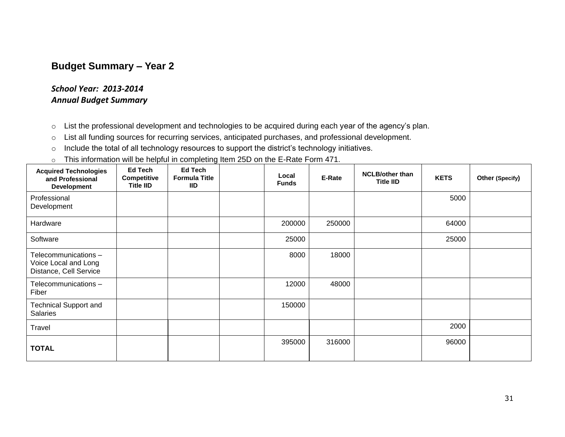## **Budget Summary – Year 2**

### *School Year: 2013-2014 Annual Budget Summary*

o List the professional development and technologies to be acquired during each year of the agency's plan.

o List all funding sources for recurring services, anticipated purchases, and professional development.

o Include the total of all technology resources to support the district's technology initiatives.

<span id="page-31-0"></span>o This information will be helpful in completing Item 25D on the E-Rate Form 471.

| <b>Acquired Technologies</b><br>and Professional<br><b>Development</b> | <b>Ed Tech</b><br>Competitive<br><b>Title IID</b> | <b>Ed Tech</b><br><b>Formula Title</b><br><b>IID</b> | Local<br><b>Funds</b> | E-Rate | <b>NCLB/other than</b><br><b>Title IID</b> | <b>KETS</b> | Other (Specify) |
|------------------------------------------------------------------------|---------------------------------------------------|------------------------------------------------------|-----------------------|--------|--------------------------------------------|-------------|-----------------|
| Professional<br>Development                                            |                                                   |                                                      |                       |        |                                            | 5000        |                 |
| Hardware                                                               |                                                   |                                                      | 200000                | 250000 |                                            | 64000       |                 |
| Software                                                               |                                                   |                                                      | 25000                 |        |                                            | 25000       |                 |
| Telecommunications-<br>Voice Local and Long<br>Distance, Cell Service  |                                                   |                                                      | 8000                  | 18000  |                                            |             |                 |
| Telecommunications-<br>Fiber                                           |                                                   |                                                      | 12000                 | 48000  |                                            |             |                 |
| <b>Technical Support and</b><br><b>Salaries</b>                        |                                                   |                                                      | 150000                |        |                                            |             |                 |
| Travel                                                                 |                                                   |                                                      |                       |        |                                            | 2000        |                 |
| <b>TOTAL</b>                                                           |                                                   |                                                      | 395000                | 316000 |                                            | 96000       |                 |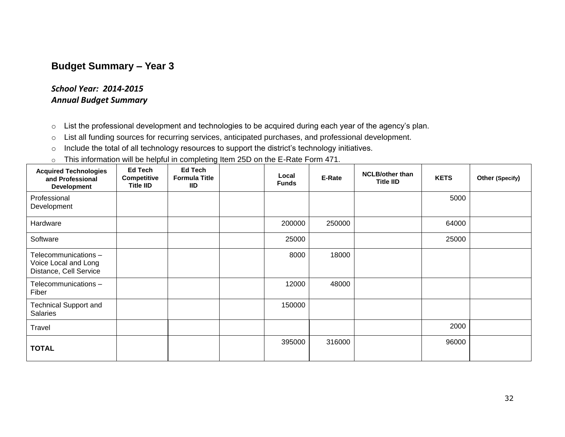## **Budget Summary – Year 3**

### *School Year: 2014-2015 Annual Budget Summary*

o List the professional development and technologies to be acquired during each year of the agency's plan.

o List all funding sources for recurring services, anticipated purchases, and professional development.

o Include the total of all technology resources to support the district's technology initiatives.

<span id="page-32-0"></span>o This information will be helpful in completing Item 25D on the E-Rate Form 471.

| <b>Acquired Technologies</b><br>and Professional<br><b>Development</b> | <b>Ed Tech</b><br>Competitive<br><b>Title IID</b> | <b>Ed Tech</b><br><b>Formula Title</b><br><b>IID</b> | Local<br><b>Funds</b> | E-Rate | <b>NCLB/other than</b><br><b>Title IID</b> | <b>KETS</b> | Other (Specify) |
|------------------------------------------------------------------------|---------------------------------------------------|------------------------------------------------------|-----------------------|--------|--------------------------------------------|-------------|-----------------|
| Professional<br>Development                                            |                                                   |                                                      |                       |        |                                            | 5000        |                 |
| Hardware                                                               |                                                   |                                                      | 200000                | 250000 |                                            | 64000       |                 |
| Software                                                               |                                                   |                                                      | 25000                 |        |                                            | 25000       |                 |
| Telecommunications-<br>Voice Local and Long<br>Distance, Cell Service  |                                                   |                                                      | 8000                  | 18000  |                                            |             |                 |
| Telecommunications-<br>Fiber                                           |                                                   |                                                      | 12000                 | 48000  |                                            |             |                 |
| <b>Technical Support and</b><br><b>Salaries</b>                        |                                                   |                                                      | 150000                |        |                                            |             |                 |
| Travel                                                                 |                                                   |                                                      |                       |        |                                            | 2000        |                 |
| <b>TOTAL</b>                                                           |                                                   |                                                      | 395000                | 316000 |                                            | 96000       |                 |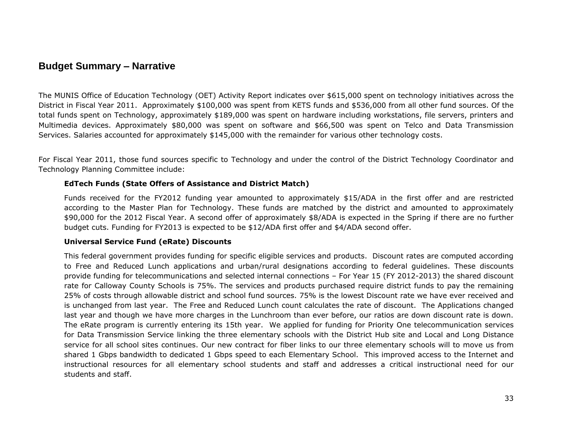### **Budget Summary – Narrative**

The MUNIS Office of Education Technology (OET) Activity Report indicates over \$615,000 spent on technology initiatives across the District in Fiscal Year 2011. Approximately \$100,000 was spent from KETS funds and \$536,000 from all other fund sources. Of the total funds spent on Technology, approximately \$189,000 was spent on hardware including workstations, file servers, printers and Multimedia devices. Approximately \$80,000 was spent on software and \$66,500 was spent on Telco and Data Transmission Services. Salaries accounted for approximately \$145,000 with the remainder for various other technology costs.

<span id="page-33-0"></span>For Fiscal Year 2011, those fund sources specific to Technology and under the control of the District Technology Coordinator and Technology Planning Committee include:

#### **EdTech Funds (State Offers of Assistance and District Match)**

Funds received for the FY2012 funding year amounted to approximately \$15/ADA in the first offer and are restricted according to the Master Plan for Technology. These funds are matched by the district and amounted to approximately \$90,000 for the 2012 Fiscal Year. A second offer of approximately \$8/ADA is expected in the Spring if there are no further budget cuts. Funding for FY2013 is expected to be \$12/ADA first offer and \$4/ADA second offer.

#### **Universal Service Fund (eRate) Discounts**

This federal government provides funding for specific eligible services and products. Discount rates are computed according to Free and Reduced Lunch applications and urban/rural designations according to federal guidelines. These discounts provide funding for telecommunications and selected internal connections – For Year 15 (FY 2012-2013) the shared discount rate for Calloway County Schools is 75%. The services and products purchased require district funds to pay the remaining 25% of costs through allowable district and school fund sources. 75% is the lowest Discount rate we have ever received and is unchanged from last year. The Free and Reduced Lunch count calculates the rate of discount. The Applications changed last year and though we have more charges in the Lunchroom than ever before, our ratios are down discount rate is down. The eRate program is currently entering its 15th year. We applied for funding for Priority One telecommunication services for Data Transmission Service linking the three elementary schools with the District Hub site and Local and Long Distance service for all school sites continues. Our new contract for fiber links to our three elementary schools will to move us from shared 1 Gbps bandwidth to dedicated 1 Gbps speed to each Elementary School. This improved access to the Internet and instructional resources for all elementary school students and staff and addresses a critical instructional need for our students and staff.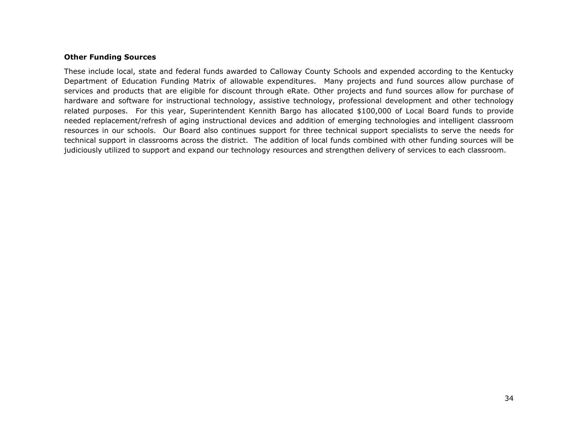#### **Other Funding Sources**

These include local, state and federal funds awarded to Calloway County Schools and expended according to the Kentucky Department of Education Funding Matrix of allowable expenditures. Many projects and fund sources allow purchase of services and products that are eligible for discount through eRate. Other projects and fund sources allow for purchase of hardware and software for instructional technology, assistive technology, professional development and other technology related purposes. For this year, Superintendent Kennith Bargo has allocated \$100,000 of Local Board funds to provide needed replacement/refresh of aging instructional devices and addition of emerging technologies and intelligent classroom resources in our schools. Our Board also continues support for three technical support specialists to serve the needs for technical support in classrooms across the district. The addition of local funds combined with other funding sources will be judiciously utilized to support and expand our technology resources and strengthen delivery of services to each classroom.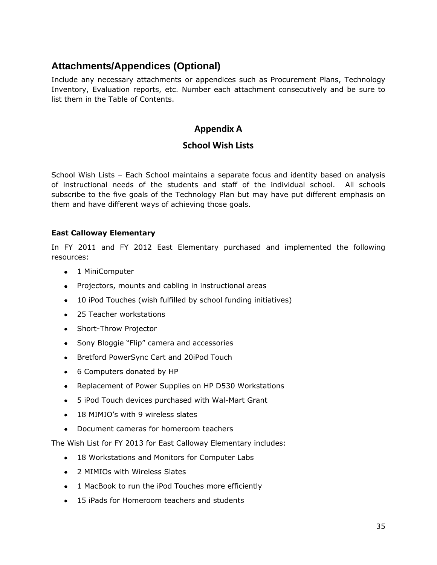## <span id="page-35-0"></span>**Attachments/Appendices (Optional)**

Include any necessary attachments or appendices such as Procurement Plans, Technology Inventory, Evaluation reports, etc. Number each attachment consecutively and be sure to list them in the Table of Contents.

## **Appendix A**

### **School Wish Lists**

School Wish Lists – Each School maintains a separate focus and identity based on analysis of instructional needs of the students and staff of the individual school. All schools subscribe to the five goals of the Technology Plan but may have put different emphasis on them and have different ways of achieving those goals.

### **East Calloway Elementary**

In FY 2011 and FY 2012 East Elementary purchased and implemented the following resources:

- 1 MiniComputer
- Projectors, mounts and cabling in instructional areas
- 10 iPod Touches (wish fulfilled by school funding initiatives)
- 25 Teacher workstations
- Short-Throw Projector
- Sony Bloggie "Flip" camera and accessories
- Bretford PowerSync Cart and 20iPod Touch
- 6 Computers donated by HP
- Replacement of Power Supplies on HP D530 Workstations
- 5 iPod Touch devices purchased with Wal-Mart Grant
- 18 MIMIO's with 9 wireless slates
- Document cameras for homeroom teachers

The Wish List for FY 2013 for East Calloway Elementary includes:

- 18 Workstations and Monitors for Computer Labs
- 2 MIMIOs with Wireless Slates
- 1 MacBook to run the iPod Touches more efficiently
- 15 iPads for Homeroom teachers and students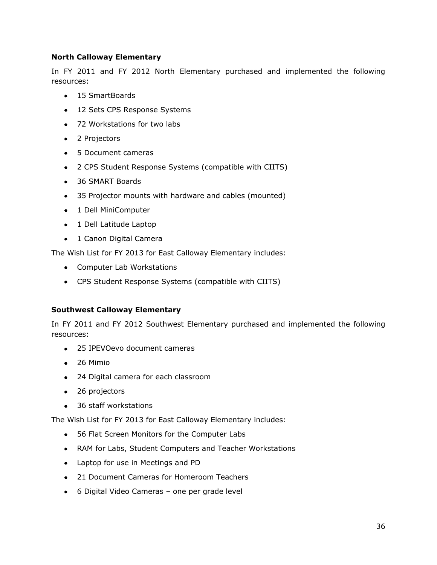### **North Calloway Elementary**

In FY 2011 and FY 2012 North Elementary purchased and implemented the following resources:

- 15 SmartBoards
- 12 Sets CPS Response Systems
- 72 Workstations for two labs
- 2 Projectors
- 5 Document cameras
- 2 CPS Student Response Systems (compatible with CIITS)
- 36 SMART Boards
- 35 Projector mounts with hardware and cables (mounted)
- 1 Dell MiniComputer
- 1 Dell Latitude Laptop
- 1 Canon Digital Camera

The Wish List for FY 2013 for East Calloway Elementary includes:

- Computer Lab Workstations
- CPS Student Response Systems (compatible with CIITS)

### **Southwest Calloway Elementary**

In FY 2011 and FY 2012 Southwest Elementary purchased and implemented the following resources:

- 25 IPEVOevo document cameras
- 26 Mimio
- 24 Digital camera for each classroom
- 26 projectors
- 36 staff workstations

The Wish List for FY 2013 for East Calloway Elementary includes:

- 56 Flat Screen Monitors for the Computer Labs
- RAM for Labs, Student Computers and Teacher Workstations
- Laptop for use in Meetings and PD
- 21 Document Cameras for Homeroom Teachers
- 6 Digital Video Cameras one per grade level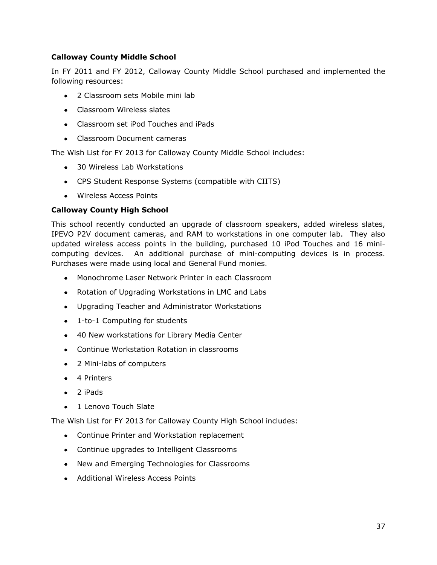### **Calloway County Middle School**

In FY 2011 and FY 2012, Calloway County Middle School purchased and implemented the following resources:

- 2 Classroom sets Mobile mini lab
- Classroom Wireless slates
- Classroom set iPod Touches and iPads
- Classroom Document cameras

The Wish List for FY 2013 for Calloway County Middle School includes:

- 30 Wireless Lab Workstations
- CPS Student Response Systems (compatible with CIITS)
- Wireless Access Points

#### **Calloway County High School**

This school recently conducted an upgrade of classroom speakers, added wireless slates, IPEVO P2V document cameras, and RAM to workstations in one computer lab. They also updated wireless access points in the building, purchased 10 iPod Touches and 16 minicomputing devices. An additional purchase of mini-computing devices is in process. Purchases were made using local and General Fund monies.

- Monochrome Laser Network Printer in each Classroom
- Rotation of Upgrading Workstations in LMC and Labs
- Upgrading Teacher and Administrator Workstations
- 1-to-1 Computing for students
- 40 New workstations for Library Media Center
- Continue Workstation Rotation in classrooms
- 2 Mini-labs of computers
- 4 Printers
- 2 iPads
- 1 Lenovo Touch Slate

The Wish List for FY 2013 for Calloway County High School includes:

- Continue Printer and Workstation replacement
- Continue upgrades to Intelligent Classrooms
- New and Emerging Technologies for Classrooms
- Additional Wireless Access Points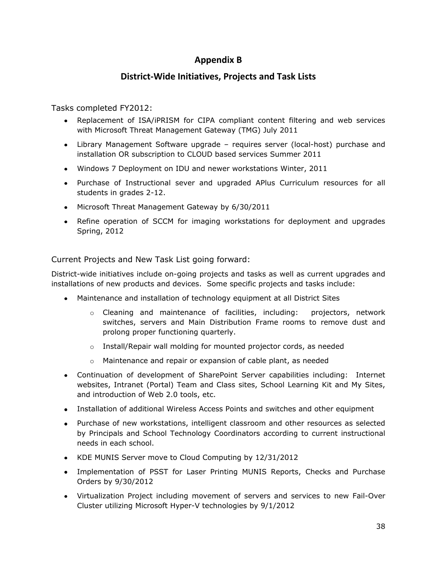## **Appendix B**

### **District-Wide Initiatives, Projects and Task Lists**

Tasks completed FY2012:

- Replacement of ISA/iPRISM for CIPA compliant content filtering and web services with Microsoft Threat Management Gateway (TMG) July 2011
- Library Management Software upgrade requires server (local-host) purchase and installation OR subscription to CLOUD based services Summer 2011
- Windows 7 Deployment on IDU and newer workstations Winter, 2011
- Purchase of Instructional sever and upgraded APlus Curriculum resources for all students in grades 2-12.
- Microsoft Threat Management Gateway by 6/30/2011
- Refine operation of SCCM for imaging workstations for deployment and upgrades Spring, 2012

Current Projects and New Task List going forward:

District-wide initiatives include on-going projects and tasks as well as current upgrades and installations of new products and devices. Some specific projects and tasks include:

- Maintenance and installation of technology equipment at all District Sites
	- $\circ$  Cleaning and maintenance of facilities, including: projectors, network switches, servers and Main Distribution Frame rooms to remove dust and prolong proper functioning quarterly.
	- $\circ$  Install/Repair wall molding for mounted projector cords, as needed
	- o Maintenance and repair or expansion of cable plant, as needed
- Continuation of development of SharePoint Server capabilities including: Internet websites, Intranet (Portal) Team and Class sites, School Learning Kit and My Sites, and introduction of Web 2.0 tools, etc.
- Installation of additional Wireless Access Points and switches and other equipment
- Purchase of new workstations, intelligent classroom and other resources as selected by Principals and School Technology Coordinators according to current instructional needs in each school.
- KDE MUNIS Server move to Cloud Computing by 12/31/2012
- Implementation of PSST for Laser Printing MUNIS Reports, Checks and Purchase Orders by 9/30/2012
- Virtualization Project including movement of servers and services to new Fail-Over Cluster utilizing Microsoft Hyper-V technologies by 9/1/2012